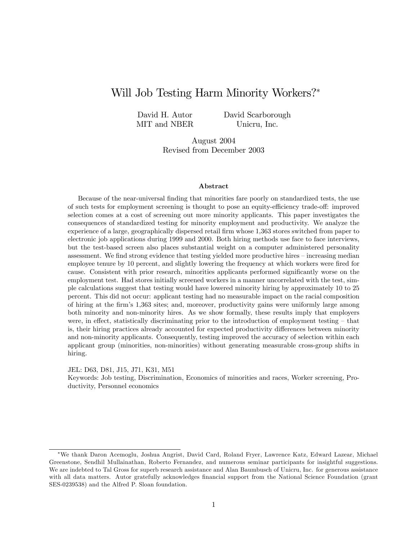# Will Job Testing Harm Minority Workers?\*

David H. Autor MIT and NBER David Scarborough Unicru, Inc.

August 2004 Revised from December 2003

#### Abstract

Because of the near-universal finding that minorities fare poorly on standardized tests, the use of such tests for employment screening is thought to pose an equity-efficiency trade-off: improved selection comes at a cost of screening out more minority applicants. This paper investigates the consequences of standardized testing for minority employment and productivity. We analyze the experience of a large, geographically dispersed retail firm whose 1,363 stores switched from paper to electronic job applications during 1999 and 2000. Both hiring methods use face to face interviews, but the test-based screen also places substantial weight on a computer administered personality assessment. We find strong evidence that testing yielded more productive hires – increasing median employee tenure by 10 percent, and slightly lowering the frequency at which workers were fired for cause. Consistent with prior research, minorities applicants performed significantly worse on the employment test. Had stores initially screened workers in a manner uncorrelated with the test, simple calculations suggest that testing would have lowered minority hiring by approximately 10 to 25 percent. This did not occur: applicant testing had no measurable impact on the racial composition of hiring at the Örmís 1,363 sites; and, moreover, productivity gains were uniformly large among both minority and non-minority hires. As we show formally, these results imply that employers were, in effect, statistically discriminating prior to the introduction of employment testing – that is, their hiring practices already accounted for expected productivity differences between minority and non-minority applicants. Consequently, testing improved the accuracy of selection within each applicant group (minorities, non-minorities) without generating measurable cross-group shifts in hiring.

JEL: D63, D81, J15, J71, K31, M51

Keywords: Job testing, Discrimination, Economics of minorities and races, Worker screening, Productivity, Personnel economics

We thank Daron Acemoglu, Joshua Angrist, David Card, Roland Fryer, Lawrence Katz, Edward Lazear, Michael Greenstone, Sendhil Mullainathan, Roberto Fernandez, and numerous seminar participants for insightful suggestions. We are indebted to Tal Gross for superb research assistance and Alan Baumbusch of Unicru, Inc. for generous assistance with all data matters. Autor gratefully acknowledges financial support from the National Science Foundation (grant SES-0239538) and the Alfred P. Sloan foundation.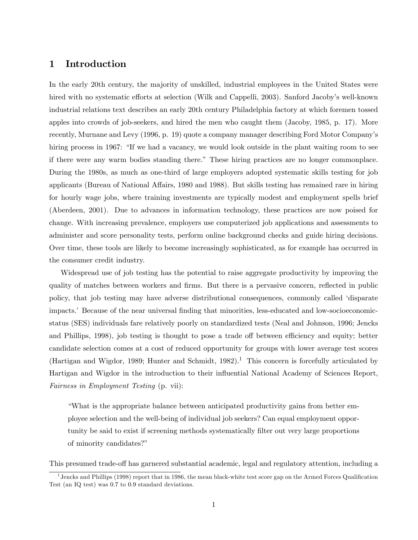## 1 Introduction

In the early 20th century, the majority of unskilled, industrial employees in the United States were hired with no systematic efforts at selection (Wilk and Cappelli, 2003). Sanford Jacoby's well-known industrial relations text describes an early 20th century Philadelphia factory at which foremen tossed apples into crowds of job-seekers, and hired the men who caught them (Jacoby, 1985, p. 17). More recently, Murnane and Levy (1996, p. 19) quote a company manager describing Ford Motor Companyís hiring process in 1967: "If we had a vacancy, we would look outside in the plant waiting room to see if there were any warm bodies standing there.î These hiring practices are no longer commonplace. During the 1980s, as much as one-third of large employers adopted systematic skills testing for job applicants (Bureau of National Affairs, 1980 and 1988). But skills testing has remained rare in hiring for hourly wage jobs, where training investments are typically modest and employment spells brief (Aberdeen, 2001). Due to advances in information technology, these practices are now poised for change. With increasing prevalence, employers use computerized job applications and assessments to administer and score personality tests, perform online background checks and guide hiring decisions. Over time, these tools are likely to become increasingly sophisticated, as for example has occurred in the consumer credit industry.

Widespread use of job testing has the potential to raise aggregate productivity by improving the quality of matches between workers and firms. But there is a pervasive concern, reflected in public policy, that job testing may have adverse distributional consequences, commonly called ëdisparate impacts.<sup>7</sup> Because of the near universal finding that minorities, less-educated and low-socioeconomicstatus (SES) individuals fare relatively poorly on standardized tests (Neal and Johnson, 1996; Jencks and Phillips, 1998), job testing is thought to pose a trade off between efficiency and equity; better candidate selection comes at a cost of reduced opportunity for groups with lower average test scores (Hartigan and Wigdor, 1989; Hunter and Schmidt, 1982).<sup>1</sup> This concern is forcefully articulated by Hartigan and Wigdor in the introduction to their ináuential National Academy of Sciences Report, Fairness in Employment Testing (p. vii):

ìWhat is the appropriate balance between anticipated productivity gains from better employee selection and the well-being of individual job seekers? Can equal employment opportunity be said to exist if screening methods systematically filter out very large proportions of minority candidates?"

This presumed trade-off has garnered substantial academic, legal and regulatory attention, including a

<sup>&</sup>lt;sup>1</sup> Jencks and Phillips (1998) report that in 1986, the mean black-white test score gap on the Armed Forces Qualification Test (an IQ test) was 0:7 to 0:9 standard deviations.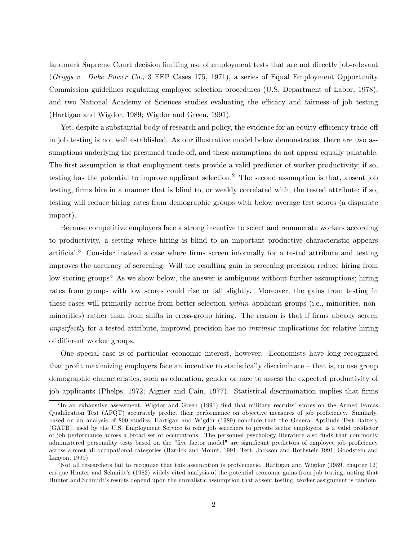landmark Supreme Court decision limiting use of employment tests that are not directly job-relevant (Griggs v. Duke Power Co., 3 FEP Cases 175, 1971), a series of Equal Employment Opportunity Commission guidelines regulating employee selection procedures (U.S. Department of Labor, 1978), and two National Academy of Sciences studies evaluating the efficacy and fairness of job testing (Hartigan and Wigdor, 1989; Wigdor and Green, 1991).

Yet, despite a substantial body of research and policy, the evidence for an equity-efficiency trade-off in job testing is not well established. As our illustrative model below demonstrates, there are two assumptions underlying the presumed trade-off, and these assumptions do not appear equally palatable. The first assumption is that employment tests provide a valid predictor of worker productivity; if so, testing has the potential to improve applicant selection.<sup>2</sup> The second assumption is that, absent job testing, firms hire in a manner that is blind to, or weakly correlated with, the tested attribute; if so, testing will reduce hiring rates from demographic groups with below average test scores (a disparate impact).

Because competitive employers face a strong incentive to select and remunerate workers according to productivity, a setting where hiring is blind to an important productive characteristic appears artificial.<sup>3</sup> Consider instead a case where firms screen informally for a tested attribute and testing improves the accuracy of screening. Will the resulting gain in screening precision reduce hiring from low scoring groups? As we show below, the answer is ambiguous without further assumptions; hiring rates from groups with low scores could rise or fall slightly. Moreover, the gains from testing in these cases will primarily accrue from better selection within applicant groups (i.e., minorities, nonminorities) rather than from shifts in cross-group hiring. The reason is that if firms already screen imperfectly for a tested attribute, improved precision has no intrinsic implications for relative hiring of different worker groups.

One special case is of particular economic interest, however. Economists have long recognized that profit maximizing employers face an incentive to statistically discriminate  $-\text{ that is, to use group}$ demographic characteristics, such as education, gender or race to assess the expected productivity of job applicants (Phelps, 1972; Aigner and Cain, 1977). Statistical discrimination implies that firms

<sup>&</sup>lt;sup>2</sup>In an exhaustive assessment, Wigdor and Green (1991) find that military recruits' scores on the Armed Forces Qualification Test (AFQT) accurately predict their performance on objective measures of job proficiency. Similarly, based on an analysis of 800 studies, Hartigan and Wigdor (1989) conclude that the General Aptitude Test Battery (GATB), used by the U.S. Employment Service to refer job searchers to private sector employers, is a valid predictor of job performance across a broad set of occupations. The personnel psychology literature also Önds that commonly administered personality tests based on the "five factor model" are significant predictors of employee job proficiency across almost all occupational categories (Barrick and Mount, 1991; Tett, Jackson and Rothstein,1991; Goodstein and Lanyon, 1999).

<sup>3</sup>Not all researchers fail to recognize that this assumption is problematic. Hartigan and Wigdor (1989, chapter 12) critque Hunter and Schmidt's (1982) widely cited analysis of the potential economic gains from job testing, noting that Hunter and Schmidt's results depend upon the unrealistic assumption that absent testing, worker assignment is random.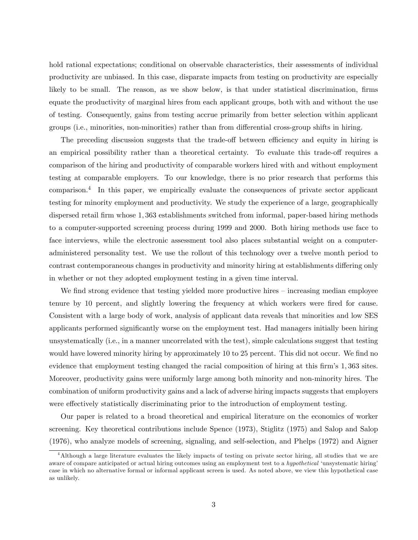hold rational expectations; conditional on observable characteristics, their assessments of individual productivity are unbiased. In this case, disparate impacts from testing on productivity are especially likely to be small. The reason, as we show below, is that under statistical discrimination, firms equate the productivity of marginal hires from each applicant groups, both with and without the use of testing. Consequently, gains from testing accrue primarily from better selection within applicant groups (i.e., minorities, non-minorities) rather than from differential cross-group shifts in hiring.

The preceding discussion suggests that the trade-off between efficiency and equity in hiring is an empirical possibility rather than a theoretical certainty. To evaluate this trade-off requires a comparison of the hiring and productivity of comparable workers hired with and without employment testing at comparable employers. To our knowledge, there is no prior research that performs this comparison.<sup>4</sup> In this paper, we empirically evaluate the consequences of private sector applicant testing for minority employment and productivity. We study the experience of a large, geographically dispersed retail firm whose 1,363 establishments switched from informal, paper-based hiring methods to a computer-supported screening process during 1999 and 2000. Both hiring methods use face to face interviews, while the electronic assessment tool also places substantial weight on a computeradministered personality test. We use the rollout of this technology over a twelve month period to contrast contemporaneous changes in productivity and minority hiring at establishments differing only in whether or not they adopted employment testing in a given time interval.

We find strong evidence that testing yielded more productive hires  $-$  increasing median employee tenure by 10 percent, and slightly lowering the frequency at which workers were fired for cause. Consistent with a large body of work, analysis of applicant data reveals that minorities and low SES applicants performed significantly worse on the employment test. Had managers initially been hiring unsystematically (i.e., in a manner uncorrelated with the test), simple calculations suggest that testing would have lowered minority hiring by approximately 10 to 25 percent. This did not occur. We find no evidence that employment testing changed the racial composition of hiring at this firm's 1,363 sites. Moreover, productivity gains were uniformly large among both minority and non-minority hires. The combination of uniform productivity gains and a lack of adverse hiring impacts suggests that employers were effectively statistically discriminating prior to the introduction of employment testing.

Our paper is related to a broad theoretical and empirical literature on the economics of worker screening. Key theoretical contributions include Spence (1973), Stiglitz (1975) and Salop and Salop (1976), who analyze models of screening, signaling, and self-selection, and Phelps (1972) and Aigner

<sup>4</sup>Although a large literature evaluates the likely impacts of testing on private sector hiring, all studies that we are aware of compare anticipated or actual hiring outcomes using an employment test to a hypothetical 'unsystematic hiring' case in which no alternative formal or informal applicant screen is used. As noted above, we view this hypothetical case as unlikely.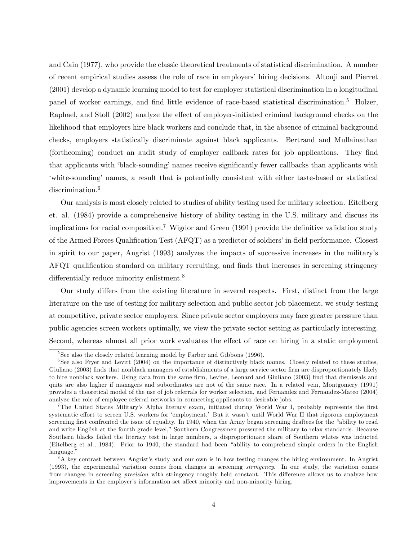and Cain (1977), who provide the classic theoretical treatments of statistical discrimination. A number of recent empirical studies assess the role of race in employersíhiring decisions. Altonji and Pierret (2001) develop a dynamic learning model to test for employer statistical discrimination in a longitudinal panel of worker earnings, and find little evidence of race-based statistical discrimination.<sup>5</sup> Holzer, Raphael, and Stoll (2002) analyze the effect of employer-initiated criminal background checks on the likelihood that employers hire black workers and conclude that, in the absence of criminal background checks, employers statistically discriminate against black applicants. Bertrand and Mullainathan (forthcoming) conduct an audit study of employer callback rates for job applications. They find that applicants with 'black-sounding' names receive significantly fewer callbacks than applicants with ëwhite-soundingí names, a result that is potentially consistent with either taste-based or statistical discrimination.<sup>6</sup>

Our analysis is most closely related to studies of ability testing used for military selection. Eitelberg et. al. (1984) provide a comprehensive history of ability testing in the U.S. military and discuss its implications for racial composition.<sup>7</sup> Wigdor and Green  $(1991)$  provide the definitive validation study of the Armed Forces Qualification Test (AFQT) as a predictor of soldiers' in-field performance. Closest in spirit to our paper, Angrist (1993) analyzes the impacts of successive increases in the militaryís AFQT qualification standard on military recruiting, and finds that increases in screening stringency differentially reduce minority enlistment.<sup>8</sup>

Our study differs from the existing literature in several respects. First, distinct from the large literature on the use of testing for military selection and public sector job placement, we study testing at competitive, private sector employers. Since private sector employers may face greater pressure than public agencies screen workers optimally, we view the private sector setting as particularly interesting. Second, whereas almost all prior work evaluates the effect of race on hiring in a static employment

<sup>&</sup>lt;sup>5</sup>See also the closely related learning model by Farber and Gibbons (1996).

<sup>&</sup>lt;sup>6</sup>See also Fryer and Levitt (2004) on the importance of distinctively black names. Closely related to these studies, Giuliano (2003) finds that nonblack managers of establishments of a large service sector firm are disproportionately likely to hire nonblack workers. Using data from the same firm, Levine, Leonard and Giuliano (2003) find that dismissals and quits are also higher if managers and subordinates are not of the same race. In a related vein, Montgomery (1991) provides a theoretical model of the use of job referrals for worker selection, and Fernandez and Fernandez-Mateo (2004) analyze the role of employee referral networks in connecting applicants to desirable jobs.

<sup>&</sup>lt;sup>7</sup>The United States Military's Alpha literacy exam, initiated during World War I, probably represents the first systematic effort to screen U.S. workers for 'employment.' But it wasn't until World War II that rigorous employment screening first confronted the issue of equality. In 1940, when the Army began screening draftees for the "ability to read and write English at the fourth grade level," Southern Congressmen pressured the military to relax standards. Because Southern blacks failed the literacy test in large numbers, a disproportionate share of Southern whites was inducted (Eitelberg et al., 1984). Prior to 1940, the standard had been "ability to comprehend simple orders in the English language."

 ${}^{8}A$  key contrast between Angrist's study and our own is in how testing changes the hiring environment. In Angrist (1993), the experimental variation comes from changes in screening stringency. In our study, the variation comes from changes in screening *precision* with stringency roughly held constant. This difference allows us to analyze how improvements in the employer's information set affect minority and non-minority hiring.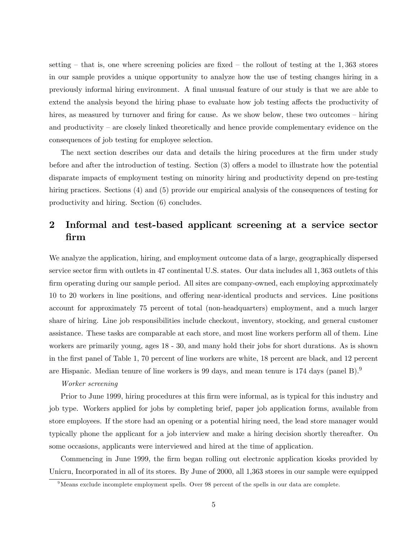setting  $-$  that is, one where screening policies are fixed  $-$  the rollout of testing at the 1,363 stores in our sample provides a unique opportunity to analyze how the use of testing changes hiring in a previously informal hiring environment. A final unusual feature of our study is that we are able to extend the analysis beyond the hiring phase to evaluate how job testing affects the productivity of hires, as measured by turnover and firing for cause. As we show below, these two outcomes – hiring and productivity  $\overline{\phantom{a}}$  are closely linked theoretically and hence provide complementary evidence on the consequences of job testing for employee selection.

The next section describes our data and details the hiring procedures at the firm under study before and after the introduction of testing. Section  $(3)$  offers a model to illustrate how the potential disparate impacts of employment testing on minority hiring and productivity depend on pre-testing hiring practices. Sections (4) and (5) provide our empirical analysis of the consequences of testing for productivity and hiring. Section (6) concludes.

# 2 Informal and test-based applicant screening at a service sector Örm

We analyze the application, hiring, and employment outcome data of a large, geographically dispersed service sector firm with outlets in 47 continental U.S. states. Our data includes all 1, 363 outlets of this firm operating during our sample period. All sites are company-owned, each employing approximately 10 to 20 workers in line positions, and offering near-identical products and services. Line positions account for approximately 75 percent of total (non-headquarters) employment, and a much larger share of hiring. Line job responsibilities include checkout, inventory, stocking, and general customer assistance. These tasks are comparable at each store, and most line workers perform all of them. Line workers are primarily young, ages 18 - 30, and many hold their jobs for short durations. As is shown in the Örst panel of Table 1, 70 percent of line workers are white, 18 percent are black, and 12 percent are Hispanic. Median tenure of line workers is 99 days, and mean tenure is  $174$  days (panel B).<sup>9</sup>

## Worker screening

Prior to June 1999, hiring procedures at this firm were informal, as is typical for this industry and job type. Workers applied for jobs by completing brief, paper job application forms, available from store employees. If the store had an opening or a potential hiring need, the lead store manager would typically phone the applicant for a job interview and make a hiring decision shortly thereafter. On some occasions, applicants were interviewed and hired at the time of application.

Commencing in June 1999, the firm began rolling out electronic application kiosks provided by Unicru, Incorporated in all of its stores. By June of 2000, all 1,363 stores in our sample were equipped

 $9$ Means exclude incomplete employment spells. Over 98 percent of the spells in our data are complete.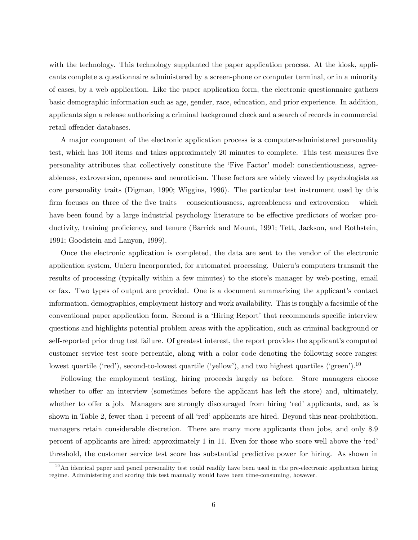with the technology. This technology supplanted the paper application process. At the kiosk, applicants complete a questionnaire administered by a screen-phone or computer terminal, or in a minority of cases, by a web application. Like the paper application form, the electronic questionnaire gathers basic demographic information such as age, gender, race, education, and prior experience. In addition, applicants sign a release authorizing a criminal background check and a search of records in commercial retail offender databases.

A major component of the electronic application process is a computer-administered personality test, which has 100 items and takes approximately 20 minutes to complete. This test measures five personality attributes that collectively constitute the 'Five Factor' model: conscientiousness, agreeableness, extroversion, openness and neuroticism. These factors are widely viewed by psychologists as core personality traits (Digman, 1990; Wiggins, 1996). The particular test instrument used by this firm focuses on three of the five traits  $-$  conscientiousness, agreeableness and extroversion  $-$  which have been found by a large industrial psychology literature to be effective predictors of worker productivity, training proficiency, and tenure (Barrick and Mount, 1991; Tett, Jackson, and Rothstein, 1991; Goodstein and Lanyon, 1999).

Once the electronic application is completed, the data are sent to the vendor of the electronic application system, Unicru Incorporated, for automated processing. Unicruís computers transmit the results of processing (typically within a few minutes) to the store's manager by web-posting, email or fax. Two types of output are provided. One is a document summarizing the applicant's contact information, demographics, employment history and work availability. This is roughly a facsimile of the conventional paper application form. Second is a 'Hiring Report' that recommends specific interview questions and highlights potential problem areas with the application, such as criminal background or self-reported prior drug test failure. Of greatest interest, the report provides the applicant's computed customer service test score percentile, along with a color code denoting the following score ranges: lowest quartile ('red'), second-to-lowest quartile ('yellow'), and two highest quartiles ('green').<sup>10</sup>

Following the employment testing, hiring proceeds largely as before. Store managers choose whether to offer an interview (sometimes before the applicant has left the store) and, ultimately, whether to offer a job. Managers are strongly discouraged from hiring 'red' applicants, and, as is shown in Table 2, fewer than 1 percent of all 'red' applicants are hired. Beyond this near-prohibition, managers retain considerable discretion. There are many more applicants than jobs, and only 8:9 percent of applicants are hired: approximately 1 in 11. Even for those who score well above the 'red' threshold, the customer service test score has substantial predictive power for hiring. As shown in

 $10$ An identical paper and pencil personality test could readily have been used in the pre-electronic application hiring regime. Administering and scoring this test manually would have been time-consuming, however.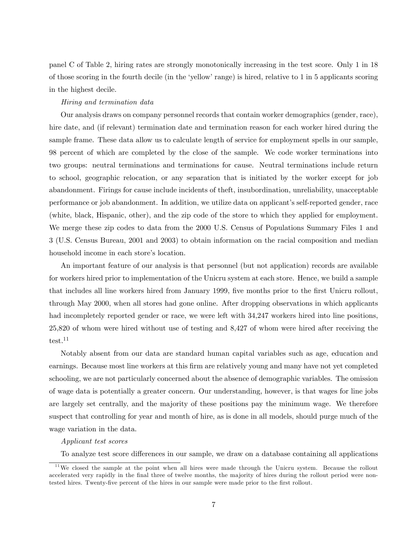panel C of Table 2, hiring rates are strongly monotonically increasing in the test score. Only 1 in 18 of those scoring in the fourth decile (in the ëyellowírange) is hired, relative to 1 in 5 applicants scoring in the highest decile.

#### Hiring and termination data

Our analysis draws on company personnel records that contain worker demographics (gender, race), hire date, and (if relevant) termination date and termination reason for each worker hired during the sample frame. These data allow us to calculate length of service for employment spells in our sample, 98 percent of which are completed by the close of the sample. We code worker terminations into two groups: neutral terminations and terminations for cause. Neutral terminations include return to school, geographic relocation, or any separation that is initiated by the worker except for job abandonment. Firings for cause include incidents of theft, insubordination, unreliability, unacceptable performance or job abandonment. In addition, we utilize data on applicant's self-reported gender, race (white, black, Hispanic, other), and the zip code of the store to which they applied for employment. We merge these zip codes to data from the 2000 U.S. Census of Populations Summary Files 1 and 3 (U.S. Census Bureau, 2001 and 2003) to obtain information on the racial composition and median household income in each store's location.

An important feature of our analysis is that personnel (but not application) records are available for workers hired prior to implementation of the Unicru system at each store. Hence, we build a sample that includes all line workers hired from January 1999, five months prior to the first Unicru rollout, through May 2000, when all stores had gone online. After dropping observations in which applicants had incompletely reported gender or race, we were left with  $34,247$  workers hired into line positions, 25,820 of whom were hired without use of testing and 8,427 of whom were hired after receiving the test.<sup>11</sup>

Notably absent from our data are standard human capital variables such as age, education and earnings. Because most line workers at this Örm are relatively young and many have not yet completed schooling, we are not particularly concerned about the absence of demographic variables. The omission of wage data is potentially a greater concern. Our understanding, however, is that wages for line jobs are largely set centrally, and the majority of these positions pay the minimum wage. We therefore suspect that controlling for year and month of hire, as is done in all models, should purge much of the wage variation in the data.

#### Applicant test scores

To analyze test score differences in our sample, we draw on a database containing all applications

 $11$ We closed the sample at the point when all hires were made through the Unicru system. Because the rollout accelerated very rapidly in the final three of twelve months, the majority of hires during the rollout period were nontested hires. Twenty-five percent of the hires in our sample were made prior to the first rollout.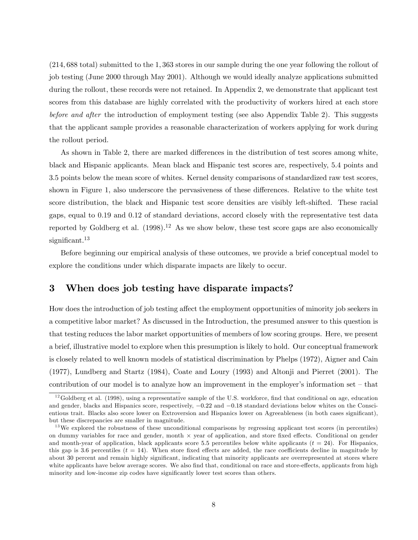(214; 688 total) submitted to the 1; 363 stores in our sample during the one year following the rollout of job testing (June 2000 through May 2001). Although we would ideally analyze applications submitted during the rollout, these records were not retained. In Appendix 2, we demonstrate that applicant test scores from this database are highly correlated with the productivity of workers hired at each store before and after the introduction of employment testing (see also Appendix Table 2). This suggests that the applicant sample provides a reasonable characterization of workers applying for work during the rollout period.

As shown in Table 2, there are marked differences in the distribution of test scores among white, black and Hispanic applicants. Mean black and Hispanic test scores are, respectively, 5:4 points and 3:5 points below the mean score of whites. Kernel density comparisons of standardized raw test scores, shown in Figure 1, also underscore the pervasiveness of these differences. Relative to the white test score distribution, the black and Hispanic test score densities are visibly left-shifted. These racial gaps, equal to 0.19 and 0.12 of standard deviations, accord closely with the representative test data reported by Goldberg et al.  $(1998).^{12}$  As we show below, these test score gaps are also economically significant. $13$ 

Before beginning our empirical analysis of these outcomes, we provide a brief conceptual model to explore the conditions under which disparate impacts are likely to occur.

## 3 When does job testing have disparate impacts?

How does the introduction of job testing affect the employment opportunities of minority job seekers in a competitive labor market? As discussed in the Introduction, the presumed answer to this question is that testing reduces the labor market opportunities of members of low scoring groups. Here, we present a brief, illustrative model to explore when this presumption is likely to hold. Our conceptual framework is closely related to well known models of statistical discrimination by Phelps (1972), Aigner and Cain (1977), Lundberg and Startz (1984), Coate and Loury (1993) and Altonji and Pierret (2001). The contribution of our model is to analyze how an improvement in the employer's information set  $-$  that

 $12$ Goldberg et al. (1998), using a representative sample of the U.S. workforce, find that conditional on age, education and gender, blacks and Hispanics score, respectively,  $-0.22$  and  $-0.18$  standard deviations below whites on the Conscientious trait. Blacks also score lower on Extroversion and Hispanics lower on Agreeableness (in both cases significant), but these discrepancies are smaller in magnitude.

 $13$ We explored the robustness of these unconditional comparisons by regressing applicant test scores (in percentiles) on dummy variables for race and gender, month  $\times$  year of application, and store fixed effects. Conditional on gender and month-year of application, black applicants score 5.5 percentiles below white applicants  $(t = 24)$ . For Hispanics, this gap is 3.6 percentiles  $(t = 14)$ . When store fixed effects are added, the race coefficients decline in magnitude by about 30 percent and remain highly significant, indicating that minority applicants are overrepresented at stores where white applicants have below average scores. We also find that, conditional on race and store-effects, applicants from high minority and low-income zip codes have significantly lower test scores than others.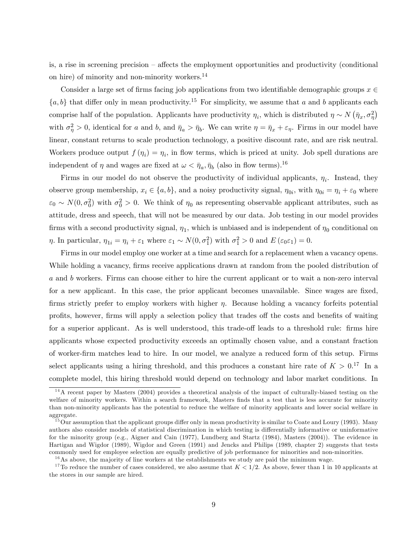is, a rise in screening precision  $-$  affects the employment opportunities and productivity (conditional on hire) of minority and non-minority workers.<sup>14</sup>

Consider a large set of firms facing job applications from two identifiable demographic groups  $x \in$  ${a, b}$  that differ only in mean productivity.<sup>15</sup> For simplicity, we assume that a and b applicants each comprise half of the population. Applicants have productivity  $\eta_i$ , which is distributed  $\eta \sim N(\bar{\eta}_x, \sigma_\eta^2)$ with  $\sigma_{\eta}^2 > 0$ , identical for a and b, and  $\bar{\eta}_a > \bar{\eta}_b$ . We can write  $\eta = \bar{\eta}_x + \varepsilon_{\eta}$ . Firms in our model have linear, constant returns to scale production technology, a positive discount rate, and are risk neutral. Workers produce output  $f(\eta_i) = \eta_i$ , in flow terms, which is priced at unity. Job spell durations are independent of  $\eta$  and wages are fixed at  $\omega < \bar{\eta}_a$ ,  $\bar{\eta}_b$  (also in flow terms).<sup>16</sup>

Firms in our model do not observe the productivity of individual applicants,  $\eta_i$ . Instead, they observe group membership,  $x_i \in \{a, b\}$ , and a noisy productivity signal,  $\eta_{0i}$ , with  $\eta_{0i} = \eta_i + \varepsilon_0$  where  $\varepsilon_0 \sim N(0, \sigma_0^2)$  with  $\sigma_0^2 > 0$ . We think of  $\eta_0$  as representing observable applicant attributes, such as attitude, dress and speech, that will not be measured by our data. Job testing in our model provides firms with a second productivity signal,  $\eta_1$ , which is unbiased and is independent of  $\eta_0$  conditional on  $\eta$ . In particular,  $\eta_{1i} = \eta_i + \varepsilon_1$  where  $\varepsilon_1 \sim N(0, \sigma_1^2)$  with  $\sigma_1^2 > 0$  and  $E(\varepsilon_0 \varepsilon_1) = 0$ .

Firms in our model employ one worker at a time and search for a replacement when a vacancy opens. While holding a vacancy, firms receive applications drawn at random from the pooled distribution of a and b workers. Firms can choose either to hire the current applicant or to wait a non-zero interval for a new applicant. In this case, the prior applicant becomes unavailable. Since wages are fixed, firms strictly prefer to employ workers with higher  $\eta$ . Because holding a vacancy forfeits potential profits, however, firms will apply a selection policy that trades of the costs and benefits of waiting for a superior applicant. As is well understood, this trade-off leads to a threshold rule: firms hire applicants whose expected productivity exceeds an optimally chosen value, and a constant fraction of worker-Örm matches lead to hire. In our model, we analyze a reduced form of this setup. Firms select applicants using a hiring threshold, and this produces a constant hire rate of  $K > 0.17$  In a complete model, this hiring threshold would depend on technology and labor market conditions. In

 $14$ A recent paper by Masters (2004) provides a theoretical analysis of the impact of culturally-biased testing on the welfare of minority workers. Within a search framework, Masters finds that a test that is less accurate for minority than non-minority applicants has the potential to reduce the welfare of minority applicants and lower social welfare in aggregate.

 $15$ Our assumption that the applicant groups differ only in mean productivity is similar to Coate and Loury (1993). Many authors also consider models of statistical discrimination in which testing is differentially informative or uninformative for the minority group (e.g., Aigner and Cain (1977), Lundberg and Startz (1984), Masters (2004)). The evidence in Hartigan and Wigdor (1989), Wigdor and Green (1991) and Jencks and Philips (1989, chapter 2) suggests that tests commonly used for employee selection are equally predictive of job performance for minorities and non-minorities.

 $16$ As above, the majority of line workers at the establishments we study are paid the minimum wage.

<sup>&</sup>lt;sup>17</sup>To reduce the number of cases considered, we also assume that  $K < 1/2$ . As above, fewer than 1 in 10 applicants at the stores in our sample are hired.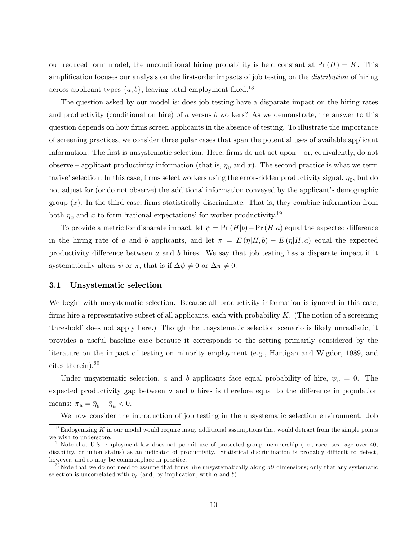our reduced form model, the unconditional hiring probability is held constant at  $Pr(H) = K$ . This simplification focuses our analysis on the first-order impacts of job testing on the *distribution* of hiring across applicant types  $\{a, b\}$ , leaving total employment fixed.<sup>18</sup>

The question asked by our model is: does job testing have a disparate impact on the hiring rates and productivity (conditional on hire) of a versus b workers? As we demonstrate, the answer to this question depends on how firms screen applicants in the absence of testing. To illustrate the importance of screening practices, we consider three polar cases that span the potential uses of available applicant information. The first is unsystematic selection. Here, firms do not act upon  $-$  or, equivalently, do not observe – applicant productivity information (that is,  $\eta_0$  and x). The second practice is what we term 'naive' selection. In this case, firms select workers using the error-ridden productivity signal,  $\eta_0$ , but do not adjust for (or do not observe) the additional information conveyed by the applicant's demographic group  $(x)$ . In the third case, firms statistically discriminate. That is, they combine information from both  $\eta_0$  and x to form 'rational expectations' for worker productivity.<sup>19</sup>

To provide a metric for disparate impact, let  $\psi = \Pr(H|b) - \Pr(H|a)$  equal the expected difference in the hiring rate of a and b applicants, and let  $\pi = E(\eta|H, b) - E(\eta|H, a)$  equal the expected productivity difference between  $a$  and  $b$  hires. We say that job testing has a disparate impact if it systematically alters  $\psi$  or  $\pi$ , that is if  $\Delta \psi \neq 0$  or  $\Delta \pi \neq 0$ .

## 3.1 Unsystematic selection

We begin with unsystematic selection. Because all productivity information is ignored in this case, firms hire a representative subset of all applicants, each with probability  $K$ . (The notion of a screening threshold does not apply here.) Though the unsystematic selection scenario is likely unrealistic, it provides a useful baseline case because it corresponds to the setting primarily considered by the literature on the impact of testing on minority employment (e.g., Hartigan and Wigdor, 1989, and cites therein).<sup>20</sup>

Under unsystematic selection, a and b applicants face equal probability of hire,  $\psi_u = 0$ . The expected productivity gap between  $a$  and  $b$  hires is therefore equal to the difference in population means:  $\pi_u = \bar{\eta}_b - \bar{\eta}_a < 0.$ 

We now consider the introduction of job testing in the unsystematic selection environment. Job

 $18$ Endogenizing K in our model would require many additional assumptions that would detract from the simple points we wish to underscore.

 $19$ Note that U.S. employment law does not permit use of protected group membership (i.e., race, sex, age over 40, disability, or union status) as an indicator of productivity. Statistical discrimination is probably difficult to detect, however, and so may be commonplace in practice.

 $^{20}$ Note that we do not need to assume that firms hire unsystematically along all dimensions; only that any systematic selection is uncorrelated with  $\eta_0$  (and, by implication, with a and b).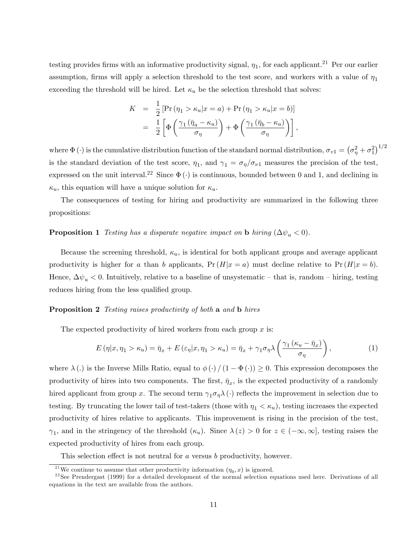testing provides firms with an informative productivity signal,  $\eta_1$ , for each applicant.<sup>21</sup> Per our earlier assumption, firms will apply a selection threshold to the test score, and workers with a value of  $\eta_1$ exceeding the threshold will be hired. Let  $\kappa_u$  be the selection threshold that solves:

$$
K = \frac{1}{2} \left[ \Pr \left( \eta_1 > \kappa_u | x = a \right) + \Pr \left( \eta_1 > \kappa_u | x = b \right) \right]
$$
  
= 
$$
\frac{1}{2} \left[ \Phi \left( \frac{\gamma_1 \left( \bar{\eta}_a - \kappa_u \right)}{\sigma_\eta} \right) + \Phi \left( \frac{\gamma_1 \left( \bar{\eta}_b - \kappa_u \right)}{\sigma_\eta} \right) \right],
$$

where  $\Phi(\cdot)$  is the cumulative distribution function of the standard normal distribution,  $\sigma_{v1} = (\sigma_{\eta}^2 + \sigma_1^2)^{1/2}$ is the standard deviation of the test score,  $\eta_1$ , and  $\gamma_1 = \sigma_{\eta}/\sigma_{\nu_1}$  measures the precision of the test, expressed on the unit interval.<sup>22</sup> Since  $\Phi(\cdot)$  is continuous, bounded between 0 and 1, and declining in  $\kappa_u$ , this equation will have a unique solution for  $\kappa_u$ .

The consequences of testing for hiring and productivity are summarized in the following three propositions:

## **Proposition 1** Testing has a disparate negative impact on **b** hiring  $(\Delta \psi_u < 0)$ .

Because the screening threshold,  $\kappa_u$ , is identical for both applicant groups and average applicant productivity is higher for a than b applicants,  $Pr(H|x = a)$  must decline relative to  $Pr(H|x = b)$ . Hence,  $\Delta \psi_u < 0$ . Intuitively, relative to a baseline of unsystematic – that is, random – hiring, testing reduces hiring from the less qualified group.

#### **Proposition 2** Testing raises productivity of both a and b hires

The expected productivity of hired workers from each group  $x$  is:

$$
E(\eta|x,\eta_1 > \kappa_u) = \bar{\eta}_x + E(\varepsilon_\eta|x,\eta_1 > \kappa_u) = \bar{\eta}_x + \gamma_1 \sigma_\eta \lambda \left(\frac{\gamma_1(\kappa_u - \bar{\eta}_x)}{\sigma_\eta}\right),\tag{1}
$$

where  $\lambda(.)$  is the Inverse Mills Ratio, equal to  $\phi(.)/(1 - \Phi(.)) \geq 0$ . This expression decomposes the productivity of hires into two components. The first,  $\bar{\eta}_x$ , is the expected productivity of a randomly hired applicant from group x. The second term  $\gamma_1 \sigma_\eta \lambda(\cdot)$  reflects the improvement in selection due to testing. By truncating the lower tail of test-takers (those with  $\eta_1 < \kappa_u$ ), testing increases the expected productivity of hires relative to applicants. This improvement is rising in the precision of the test,  $\gamma_1$ , and in the stringency of the threshold  $(\kappa_u)$ . Since  $\lambda(z) > 0$  for  $z \in (-\infty, \infty]$ , testing raises the expected productivity of hires from each group.

This selection effect is not neutral for  $a$  versus  $b$  productivity, however.

<sup>&</sup>lt;sup>21</sup>We continue to assume that other productivity information  $(\eta_0, x)$  is ignored.

 $22$ See Prendergast (1999) for a detailed development of the normal selection equations used here. Derivations of all equations in the text are available from the authors.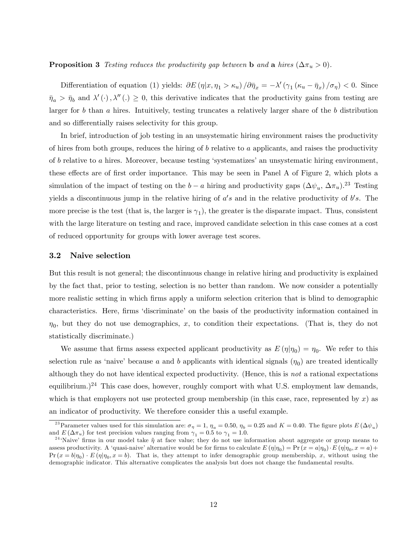### **Proposition 3** Testing reduces the productivity gap between b and a hires  $(\Delta \pi_u > 0)$ .

Differentiation of equation (1) yields:  $\partial E(\eta|x, \eta_1 > \kappa_u)/\partial \bar{\eta}_x = -\lambda'(\gamma_1 (\kappa_u - \bar{\eta}_x)/\sigma_{\eta}) < 0$ . Since  $\bar{\eta}_a > \bar{\eta}_b$  and  $\lambda'(\cdot), \lambda''(\cdot) \geq 0$ , this derivative indicates that the productivity gains from testing are larger for b than a hires. Intuitively, testing truncates a relatively larger share of the b distribution and so differentially raises selectivity for this group.

In brief, introduction of job testing in an unsystematic hiring environment raises the productivity of hires from both groups, reduces the hiring of  $b$  relative to  $a$  applicants, and raises the productivity of  $b$  relative to  $a$  hires. Moreover, because testing 'systematizes' an unsystematic hiring environment, these effects are of first order importance. This may be seen in Panel A of Figure 2, which plots a simulation of the impact of testing on the  $b-a$  hiring and productivity gaps  $(\Delta \psi_u, \Delta \pi_u)^{23}$  Testing yields a discontinuous jump in the relative hiring of  $a's$  and in the relative productivity of  $b's$ . The more precise is the test (that is, the larger is  $\gamma_1$ ), the greater is the disparate impact. Thus, consistent with the large literature on testing and race, improved candidate selection in this case comes at a cost of reduced opportunity for groups with lower average test scores.

### 3.2 Naive selection

But this result is not general; the discontinuous change in relative hiring and productivity is explained by the fact that, prior to testing, selection is no better than random. We now consider a potentially more realistic setting in which firms apply a uniform selection criterion that is blind to demographic characteristics. Here, firms 'discriminate' on the basis of the productivity information contained in  $\eta_0$ , but they do not use demographics, x, to condition their expectations. (That is, they do not statistically discriminate.)

We assume that firms assess expected applicant productivity as  $E(\eta|\eta_0) = \eta_0$ . We refer to this selection rule as 'naive' because a and b applicants with identical signals  $(\eta_0)$  are treated identically although they do not have identical expected productivity. (Hence, this is not a rational expectations equilibrium.)<sup>24</sup> This case does, however, roughly comport with what U.S. employment law demands, which is that employers not use protected group membership (in this case, race, represented by  $x$ ) as an indicator of productivity. We therefore consider this a useful example.

<sup>&</sup>lt;sup>23</sup> Parameter values used for this simulation are:  $\sigma_{\eta} = 1$ ,  $\eta_a = 0.50$ ,  $\eta_b = 0.25$  and  $K = 0.40$ . The figure plots  $E(\Delta \psi_u)$ and  $E(\Delta \pi_u)$  for test precision values ranging from  $\gamma_1 = 0.5$  to  $\gamma_1 = 1.0$ .

<sup>&</sup>lt;sup>24</sup>'Naive' firms in our model take  $\tilde{\eta}$  at face value; they do not use information about aggregate or group means to assess productivity. A 'quasi-naive' alternative would be for firms to calculate  $E(\eta|\eta_0) = \Pr(x = a|\eta_0) \cdot E(\eta|\eta_0, x = a) +$  $Pr(x = b | \eta_0) \cdot E(\eta | \eta_0, x = b)$ . That is, they attempt to infer demographic group membership, x, without using the demographic indicator. This alternative complicates the analysis but does not change the fundamental results.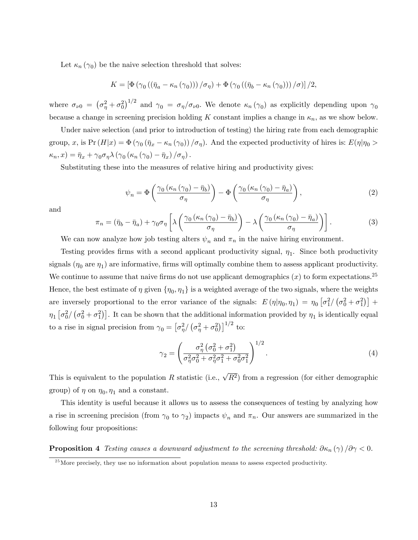Let  $\kappa_n(\gamma_0)$  be the naive selection threshold that solves:

$$
K = \left[ \Phi \left( \gamma_0 \left( (\bar{\eta}_a - \kappa_n \left( \gamma_0 \right) ) \right) / \sigma_\eta \right) + \Phi \left( \gamma_0 \left( (\bar{\eta}_b - \kappa_n \left( \gamma_0 \right) ) \right) / \sigma \right) \right] / 2,
$$

where  $\sigma_{\nu 0} = (\sigma_{\eta}^2 + \sigma_0^2)^{1/2}$  and  $\gamma_0 = \sigma_{\eta}/\sigma_{\nu 0}$ . We denote  $\kappa_n(\gamma_0)$  as explicitly depending upon  $\gamma_0$ because a change in screening precision holding K constant implies a change in  $\kappa_n$ , as we show below.

Under naive selection (and prior to introduction of testing) the hiring rate from each demographic group, x, is  $Pr(H|x) = \Phi(\gamma_0(\bar{\eta}_x - \kappa_n(\gamma_0))/\sigma_\eta)$ . And the expected productivity of hires is:  $E(\eta|\eta_0 >$  $\kappa_n, x$ ) =  $\bar{\eta}_x + \gamma_0 \sigma_\eta \lambda (\gamma_0 (\kappa_n (\gamma_0) - \bar{\eta}_x) / \sigma_\eta)$ .

Substituting these into the measures of relative hiring and productivity gives:

$$
\psi_n = \Phi\left(\frac{\gamma_0 \left(\kappa_n \left(\gamma_0\right) - \bar{\eta}_b\right)}{\sigma_\eta}\right) - \Phi\left(\frac{\gamma_0 \left(\kappa_n \left(\gamma_0\right) - \bar{\eta}_a\right)}{\sigma_\eta}\right),\tag{2}
$$

and

$$
\pi_n = (\bar{\eta}_b - \bar{\eta}_a) + \gamma_0 \sigma_\eta \left[ \lambda \left( \frac{\gamma_0 (\kappa_n (\gamma_0) - \bar{\eta}_b)}{\sigma_\eta} \right) - \lambda \left( \frac{\gamma_0 (\kappa_n (\gamma_0) - \bar{\eta}_a)}{\sigma_\eta} \right) \right].
$$
 (3)

We can now analyze how job testing alters  $\psi_n$  and  $\pi_n$  in the naive hiring environment.

Testing provides firms with a second applicant productivity signal,  $\eta_1$ . Since both productivity signals  $(\eta_0 \text{ are } \eta_1)$  are informative, firms will optimally combine them to assess applicant productivity. We continue to assume that naive firms do not use applicant demographics  $(x)$  to form expectations.<sup>25</sup> Hence, the best estimate of  $\eta$  given  $\{\eta_0, \eta_1\}$  is a weighted average of the two signals, where the weights are inversely proportional to the error variance of the signals:  $E(\eta | \eta_0, \eta_1) = \eta_0 \left[ \sigma_1^2 / (\sigma_0^2 + \sigma_1^2) \right] +$  $\eta_1 \left[ \sigma_0^2 / (\sigma_0^2 + \sigma_1^2) \right]$ . It can be shown that the additional information provided by  $\eta_1$  is identically equal to a rise in signal precision from  $\gamma_0 = \left[\sigma_{\eta}^2 / (\sigma_{\eta}^2 + \sigma_0^2)\right]^{1/2}$  to:

$$
\gamma_2 = \left(\frac{\sigma_\eta^2 \left(\sigma_0^2 + \sigma_1^2\right)}{\sigma_\eta^2 \sigma_0^2 + \sigma_\eta^2 \sigma_1^2 + \sigma_0^2 \sigma_1^2}\right)^{1/2}.
$$
\n(4)

This is equivalent to the population R statistic (i.e.,  $\sqrt{R^2}$ ) from a regression (for either demographic group) of  $\eta$  on  $\eta_0, \eta_1$  and a constant.

This identity is useful because it allows us to assess the consequences of testing by analyzing how a rise in screening precision (from  $\gamma_0$  to  $\gamma_2$ ) impacts  $\psi_n$  and  $\pi_n$ . Our answers are summarized in the following four propositions:

**Proposition 4** Testing causes a downward adjustment to the screening threshold:  $\partial \kappa_n(\gamma)/\partial \gamma < 0$ .

 $^{25}$ More precisely, they use no information about population means to assess expected productivity.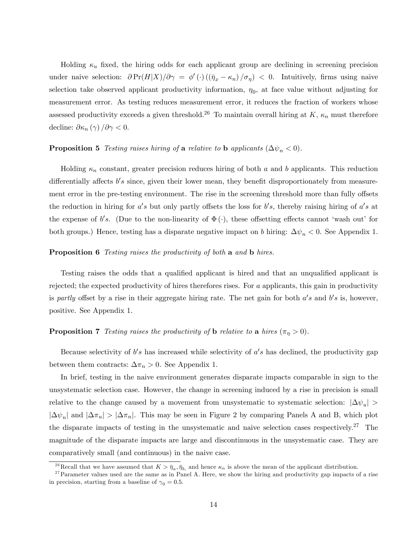Holding  $\kappa_u$  fixed, the hiring odds for each applicant group are declining in screening precision under naive selection:  $\partial \Pr(H|X)/\partial \gamma = \phi'(\cdot) ((\bar{\eta}_x - \kappa_n)/\sigma_\eta) < 0$ . Intuitively, firms using naive selection take observed applicant productivity information,  $\eta_0$ , at face value without adjusting for measurement error. As testing reduces measurement error, it reduces the fraction of workers whose assessed productivity exceeds a given threshold.<sup>26</sup> To maintain overall hiring at K,  $\kappa_n$  must therefore decline:  $\partial \kappa_n(\gamma) / \partial \gamma < 0$ .

## **Proposition 5** Testing raises hiring of a relative to b applicants  $(\Delta \psi_n < 0)$ .

Holding  $\kappa_n$  constant, greater precision reduces hiring of both a and b applicants. This reduction differentially affects  $b's$  since, given their lower mean, they benefit disproportionately from measurement error in the pre-testing environment. The rise in the screening threshold more than fully offsets the reduction in hiring for  $a's$  but only partly offsets the loss for b's, thereby raising hiring of  $a's$  at the expense of b's. (Due to the non-linearity of  $\Phi(\cdot)$ , these offsetting effects cannot 'wash out' for both groups.) Hence, testing has a disparate negative impact on b hiring:  $\Delta \psi_n < 0$ . See Appendix 1.

#### **Proposition 6** Testing raises the productivity of both a and **b** hires.

Testing raises the odds that a qualified applicant is hired and that an unqualified applicant is rejected; the expected productivity of hires therefores rises. For  $a$  applicants, this gain in productivity is partly offset by a rise in their aggregate hiring rate. The net gain for both  $a's$  and  $b's$  is, however, positive. See Appendix 1.

## **Proposition 7** Testing raises the productivity of **b** relative to **a** hires  $(\pi_n > 0)$ .

Because selectivity of  $b's$  has increased while selectivity of  $a's$  has declined, the productivity gap between them contracts:  $\Delta \pi_n > 0$ . See Appendix 1.

In brief, testing in the naive environment generates disparate impacts comparable in sign to the unsystematic selection case. However, the change in screening induced by a rise in precision is small relative to the change caused by a movement from unsystematic to systematic selection:  $|\Delta \psi_u|$  >  $|\Delta\psi_n|$  and  $|\Delta\pi_u| > |\Delta\pi_n|$ . This may be seen in Figure 2 by comparing Panels A and B, which plot the disparate impacts of testing in the unsystematic and naive selection cases respectively.<sup>27</sup> The magnitude of the disparate impacts are large and discontinuous in the unsystematic case. They are comparatively small (and continuous) in the naive case.

<sup>&</sup>lt;sup>26</sup>Recall that we have assumed that  $K > \bar{\eta}_a, \bar{\eta}_b$  and hence  $\kappa_n$  is above the mean of the applicant distribution.

 $27$  Parameter values used are the same as in Panel A. Here, we show the hiring and productivity gap impacts of a rise in precision, starting from a baseline of  $\gamma_0 = 0.5$ .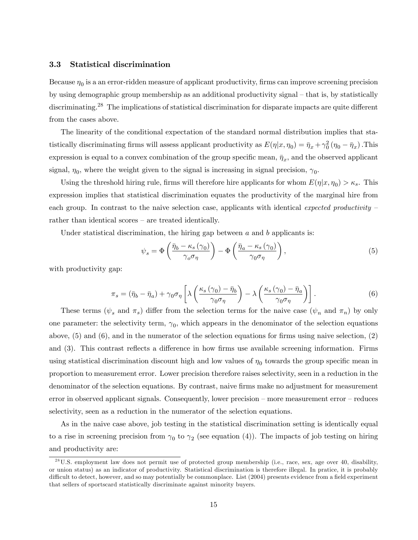### 3.3 Statistical discrimination

Because  $\eta_0$  is a an error-ridden measure of applicant productivity, firms can improve screening precision by using demographic group membership as an additional productivity signal – that is, by statistically discriminating.<sup>28</sup> The implications of statistical discrimination for disparate impacts are quite different from the cases above.

The linearity of the conditional expectation of the standard normal distribution implies that statistically discriminating firms will assess applicant productivity as  $E(\eta|x, \eta_0) = \bar{\eta}_x + \gamma_0^2 (\eta_0 - \bar{\eta}_x)$ . This expression is equal to a convex combination of the group specific mean,  $\bar{\eta}_x$ , and the observed applicant signal,  $\eta_0$ , where the weight given to the signal is increasing in signal precision,  $\gamma_0$ .

Using the threshold hiring rule, firms will therefore hire applicants for whom  $E(\eta|x, \eta_0) > \kappa_s$ . This expression implies that statistical discrimination equates the productivity of the marginal hire from each group. In contrast to the naive selection case, applicants with identical expected productivity  $$ rather than identical scores  $-$  are treated identically.

Under statistical discrimination, the hiring gap between  $a$  and  $b$  applicants is:

$$
\psi_s = \Phi\left(\frac{\bar{\eta}_b - \kappa_s(\gamma_0)}{\gamma_o \sigma_\eta}\right) - \Phi\left(\frac{\bar{\eta}_a - \kappa_s(\gamma_0)}{\gamma_0 \sigma_\eta}\right),\tag{5}
$$

with productivity gap:

$$
\pi_s = (\bar{\eta}_b - \bar{\eta}_a) + \gamma_0 \sigma_\eta \left[ \lambda \left( \frac{\kappa_s (\gamma_0) - \bar{\eta}_b}{\gamma_0 \sigma_\eta} \right) - \lambda \left( \frac{\kappa_s (\gamma_0) - \bar{\eta}_a}{\gamma_0 \sigma_\eta} \right) \right]. \tag{6}
$$

These terms ( $\psi_s$  and  $\pi_s$ ) differ from the selection terms for the naive case ( $\psi_n$  and  $\pi_n$ ) by only one parameter: the selectivity term,  $\gamma_0$ , which appears in the denominator of the selection equations above,  $(5)$  and  $(6)$ , and in the numerator of the selection equations for firms using naive selection,  $(2)$ and (3). This contrast reflects a difference in how firms use available screening information. Firms using statistical discrimination discount high and low values of  $\eta_0$  towards the group specific mean in proportion to measurement error. Lower precision therefore raises selectivity, seen in a reduction in the denominator of the selection equations. By contrast, naive firms make no adjustment for measurement error in observed applicant signals. Consequently, lower precision  $-$  more measurement error  $-$  reduces selectivity, seen as a reduction in the numerator of the selection equations.

As in the naive case above, job testing in the statistical discrimination setting is identically equal to a rise in screening precision from  $\gamma_0$  to  $\gamma_2$  (see equation (4)). The impacts of job testing on hiring and productivity are:

 $2<sup>28</sup>$ U.S. employment law does not permit use of protected group membership (i.e., race, sex, age over 40, disability, or union status) as an indicator of productivity. Statistical discrimination is therefore illegal. In pratice, it is probably difficult to detect, however, and so may potentially be commonplace. List (2004) presents evidence from a field experiment that sellers of sportscard statistically discriminate against minority buyers.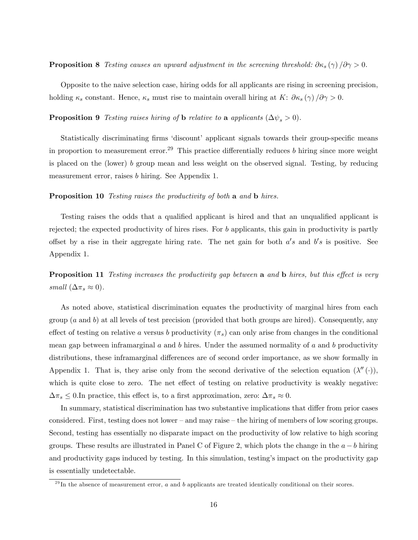**Proposition 8** Testing causes an upward adjustment in the screening threshold:  $\partial \kappa_s(\gamma)/\partial \gamma > 0$ .

Opposite to the naive selection case, hiring odds for all applicants are rising in screening precision, holding  $\kappa_s$  constant. Hence,  $\kappa_s$  must rise to maintain overall hiring at K:  $\partial \kappa_s(\gamma)/\partial \gamma > 0$ .

**Proposition 9** Testing raises hiring of **b** relative to **a** applicants  $(\Delta \psi_s > 0)$ .

Statistically discriminating firms 'discount' applicant signals towards their group-specific means in proportion to measurement error.<sup>29</sup> This practice differentially reduces b hiring since more weight is placed on the (lower) b group mean and less weight on the observed signal. Testing, by reducing measurement error, raises b hiring. See Appendix 1.

#### Proposition 10 Testing raises the productivity of both a and b hires.

Testing raises the odds that a qualified applicant is hired and that an unqualified applicant is rejected; the expected productivity of hires rises. For  $b$  applicants, this gain in productivity is partly offset by a rise in their aggregate hiring rate. The net gain for both  $a's$  and  $b's$  is positive. See Appendix 1.

**Proposition 11** Testing increases the productivity gap between a and  $\bf{b}$  hires, but this effect is very small  $(\Delta \pi_s \approx 0)$ .

As noted above, statistical discrimination equates the productivity of marginal hires from each group  $(a \text{ and } b)$  at all levels of test precision (provided that both groups are hired). Consequently, any effect of testing on relative a versus b productivity  $(\pi_s)$  can only arise from changes in the conditional mean gap between inframarginal  $a$  and  $b$  hires. Under the assumed normality of  $a$  and  $b$  productivity distributions, these inframarginal differences are of second order importance, as we show formally in Appendix 1. That is, they arise only from the second derivative of the selection equation  $(\lambda''(\cdot))$ , which is quite close to zero. The net effect of testing on relative productivity is weakly negative:  $\Delta \pi_s \leq 0$ . In practice, this effect is, to a first approximation, zero:  $\Delta \pi_s \approx 0$ .

In summary, statistical discrimination has two substantive implications that differ from prior cases considered. First, testing does not lower – and may raise – the hiring of members of low scoring groups. Second, testing has essentially no disparate impact on the productivity of low relative to high scoring groups. These results are illustrated in Panel C of Figure 2, which plots the change in the  $a - b$  hiring and productivity gaps induced by testing. In this simulation, testing's impact on the productivity gap is essentially undetectable.

 $^{29}$ In the absence of measurement error, a and b applicants are treated identically conditional on their scores.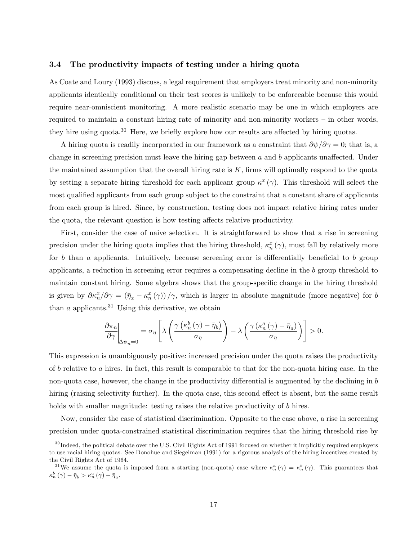#### 3.4 The productivity impacts of testing under a hiring quota

As Coate and Loury (1993) discuss, a legal requirement that employers treat minority and non-minority applicants identically conditional on their test scores is unlikely to be enforceable because this would require near-omniscient monitoring. A more realistic scenario may be one in which employers are required to maintain a constant hiring rate of minority and non-minority workers  $-$  in other words, they hire using quota.<sup>30</sup> Here, we briefly explore how our results are affected by hiring quotas.

A hiring quota is readily incorporated in our framework as a constraint that  $\partial \psi / \partial \gamma = 0$ ; that is, a change in screening precision must leave the hiring gap between  $a$  and  $b$  applicants unaffected. Under the maintained assumption that the overall hiring rate is  $K$ , firms will optimally respond to the quota by setting a separate hiring threshold for each applicant group  $\kappa^x(\gamma)$ . This threshold will select the most qualified applicants from each group subject to the constraint that a constant share of applicants from each group is hired. Since, by construction, testing does not impact relative hiring rates under the quota, the relevant question is how testing affects relative productivity.

First, consider the case of naive selection. It is straightforward to show that a rise in screening precision under the hiring quota implies that the hiring threshold,  $\kappa_n^x(\gamma)$ , must fall by relatively more for b than a applicants. Intuitively, because screening error is differentially beneficial to b group applicants, a reduction in screening error requires a compensating decline in the b group threshold to maintain constant hiring. Some algebra shows that the group-specific change in the hiring threshold is given by  $\partial \kappa_n^x/\partial \gamma = (\bar{\eta}_x - \kappa_n^x(\gamma))/\gamma$ , which is larger in absolute magnitude (more negative) for b than  $a$  applicants.<sup>31</sup> Using this derivative, we obtain

$$
\left.\frac{\partial\pi_n}{\partial\gamma}\right|_{\Delta\psi_n=0}=\sigma_\eta\left[\lambda\left(\frac{\gamma\left(\kappa_n^b\left(\gamma\right)-\bar{\eta}_b\right)}{\sigma_\eta}\right)-\lambda\left(\frac{\gamma\left(\kappa_n^a\left(\gamma\right)-\bar{\eta}_a\right)}{\sigma_\eta}\right)\right]>0.
$$

This expression is unambiguously positive: increased precision under the quota raises the productivity of b relative to a hires. In fact, this result is comparable to that for the non-quota hiring case. In the non-quota case, however, the change in the productivity differential is augmented by the declining in  $b$ hiring (raising selectivity further). In the quota case, this second effect is absent, but the same result holds with smaller magnitude: testing raises the relative productivity of b hires.

Now, consider the case of statistical discrimination. Opposite to the case above, a rise in screening precision under quota-constrained statistical discrimination requires that the hiring threshold rise by

 $30$  Indeed, the political debate over the U.S. Civil Rights Act of 1991 focused on whether it implicitly required employers to use racial hiring quotas. See Donohue and Siegelman (1991) for a rigorous analysis of the hiring incentives created by the Civil Rights Act of 1964.

<sup>&</sup>lt;sup>31</sup>We assume the quota is imposed from a starting (non-quota) case where  $\kappa_n^a(\gamma) = \kappa_n^b(\gamma)$ . This guarantees that  $\kappa_{n}^{b}(\gamma) - \bar{\eta}_{b} > \kappa_{n}^{a}(\gamma) - \bar{\eta}_{a}.$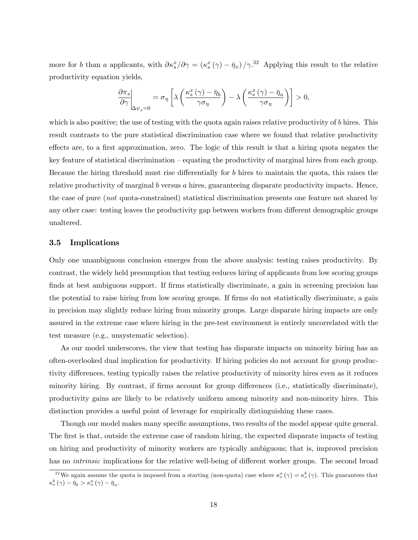more for b than a applicants, with  $\partial \kappa_s^x/\partial \gamma = (\kappa_s^x(\gamma) - \bar{\eta}_x)/\gamma^{32}$  Applying this result to the relative productivity equation yields,

$$
\left. \frac{\partial \pi_s}{\partial \gamma} \right|_{\Delta \psi_s = 0} = \sigma_\eta \left[ \lambda \left( \frac{\kappa_s^x(\gamma) - \bar{\eta}_b}{\gamma \sigma_\eta} \right) - \lambda \left( \frac{\kappa_s^x(\gamma) - \bar{\eta}_a}{\gamma \sigma_\eta} \right) \right] > 0,
$$

which is also positive; the use of testing with the quota again raises relative productivity of b hires. This result contrasts to the pure statistical discrimination case where we found that relative productivity effects are, to a first approximation, zero. The logic of this result is that a hiring quota negates the key feature of statistical discrimination  $-\epsilon$  equating the productivity of marginal hires from each group. Because the hiring threshold must rise differentially for  $b$  hires to maintain the quota, this raises the relative productivity of marginal b versus a hires, guaranteeing disparate productivity impacts. Hence, the case of pure (not quota-constrained) statistical discrimination presents one feature not shared by any other case: testing leaves the productivity gap between workers from different demographic groups unaltered.

## 3.5 Implications

Only one unambiguous conclusion emerges from the above analysis: testing raises productivity. By contrast, the widely held presumption that testing reduces hiring of applicants from low scoring groups finds at best ambiguous support. If firms statistically discriminate, a gain in screening precision has the potential to raise hiring from low scoring groups. If firms do not statistically discriminate, a gain in precision may slightly reduce hiring from minority groups. Large disparate hiring impacts are only assured in the extreme case where hiring in the pre-test environment is entirely uncorrelated with the test measure (e.g., unsystematic selection).

As our model underscores, the view that testing has disparate impacts on minority hiring has an often-overlooked dual implication for productivity. If hiring policies do not account for group productivity differences, testing typically raises the relative productivity of minority hires even as it reduces minority hiring. By contrast, if firms account for group differences (i.e., statistically discriminate), productivity gains are likely to be relatively uniform among minority and non-minority hires. This distinction provides a useful point of leverage for empirically distinguishing these cases.

Though our model makes many specific assumptions, two results of the model appear quite general. The first is that, outside the extreme case of random hiring, the expected disparate impacts of testing on hiring and productivity of minority workers are typically ambiguous; that is, improved precision has no *intrinsic* implications for the relative well-being of different worker groups. The second broad

<sup>&</sup>lt;sup>32</sup>We again assume the quota is imposed from a starting (non-quota) case where  $\kappa_s^a(\gamma) = \kappa_s^b(\gamma)$ . This guarantees that  $\kappa_s^b \left( \gamma \right) - \bar{\eta}_b > \kappa_s^a \left( \gamma \right) - \bar{\eta}_a.$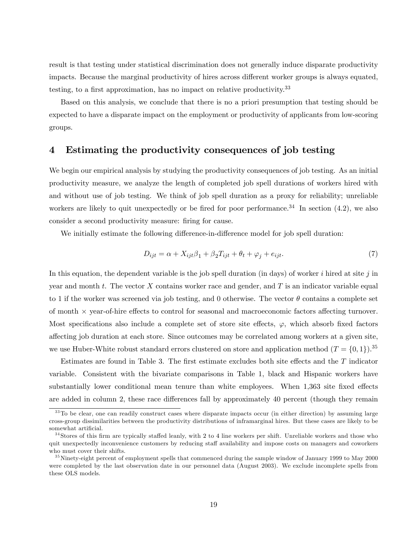result is that testing under statistical discrimination does not generally induce disparate productivity impacts. Because the marginal productivity of hires across different worker groups is always equated, testing, to a first approximation, has no impact on relative productivity. $33$ 

Based on this analysis, we conclude that there is no a priori presumption that testing should be expected to have a disparate impact on the employment or productivity of applicants from low-scoring groups.

## 4 Estimating the productivity consequences of job testing

We begin our empirical analysis by studying the productivity consequences of job testing. As an initial productivity measure, we analyze the length of completed job spell durations of workers hired with and without use of job testing. We think of job spell duration as a proxy for reliability; unreliable workers are likely to quit unexpectedly or be fired for poor performance.<sup>34</sup> In section  $(4.2)$ , we also consider a second productivity measure: firing for cause.

We initially estimate the following difference-in-difference model for job spell duration:

$$
D_{ijt} = \alpha + X_{ijt}\beta_1 + \beta_2 T_{ijt} + \theta_t + \varphi_j + e_{ijt}.
$$
\n<sup>(7)</sup>

In this equation, the dependent variable is the job spell duration (in days) of worker  $i$  hired at site  $j$  in year and month t. The vector  $X$  contains worker race and gender, and  $T$  is an indicator variable equal to 1 if the worker was screened via job testing, and 0 otherwise. The vector  $\theta$  contains a complete set of month  $\times$  year-of-hire effects to control for seasonal and macroeconomic factors affecting turnover. Most specifications also include a complete set of store site effects,  $\varphi$ , which absorb fixed factors a§ecting job duration at each store. Since outcomes may be correlated among workers at a given site, we use Huber-White robust standard errors clustered on store and application method  $(T = \{0, 1\})$ .<sup>35</sup>

Estimates are found in Table 3. The first estimate excludes both site effects and the  $T$  indicator variable. Consistent with the bivariate comparisons in Table 1, black and Hispanic workers have substantially lower conditional mean tenure than white employees. When 1,363 site fixed effects are added in column 2, these race differences fall by approximately 40 percent (though they remain

<sup>&</sup>lt;sup>33</sup>To be clear, one can readily construct cases where disparate impacts occur (in either direction) by assuming large cross-group dissimilarities between the productivity distributions of inframarginal hires. But these cases are likely to be somewhat artificial.

 $34$ Stores of this firm are typically staffed leanly, with 2 to 4 line workers per shift. Unreliable workers and those who quit unexpectedly inconvenience customers by reducing staff availability and impose costs on managers and coworkers who must cover their shifts.

 $35$  Ninety-eight percent of employment spells that commenced during the sample window of January 1999 to May 2000 were completed by the last observation date in our personnel data (August 2003). We exclude incomplete spells from these OLS models.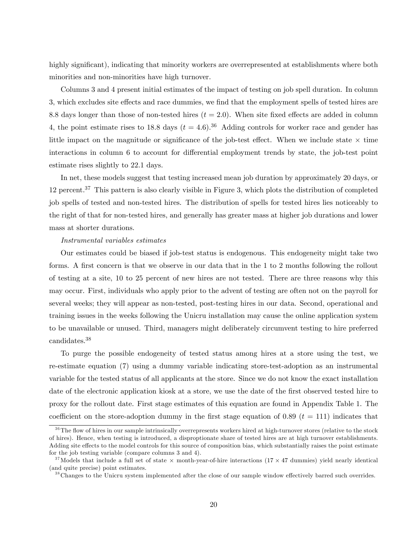highly significant), indicating that minority workers are overrepresented at establishments where both minorities and non-minorities have high turnover.

Columns 3 and 4 present initial estimates of the impact of testing on job spell duration. In column 3, which excludes site effects and race dummies, we find that the employment spells of tested hires are 8.8 days longer than those of non-tested hires  $(t = 2.0)$ . When site fixed effects are added in column 4, the point estimate rises to 18.8 days  $(t = 4.6)$ .<sup>36</sup> Adding controls for worker race and gender has little impact on the magnitude or significance of the job-test effect. When we include state  $\times$  time interactions in column 6 to account for differential employment trends by state, the job-test point estimate rises slightly to 22.1 days.

In net, these models suggest that testing increased mean job duration by approximately 20 days, or 12 percent.<sup>37</sup> This pattern is also clearly visible in Figure 3, which plots the distribution of completed job spells of tested and non-tested hires. The distribution of spells for tested hires lies noticeably to the right of that for non-tested hires, and generally has greater mass at higher job durations and lower mass at shorter durations.

#### Instrumental variables estimates

Our estimates could be biased if job-test status is endogenous. This endogeneity might take two forms. A first concern is that we observe in our data that in the 1 to 2 months following the rollout of testing at a site, 10 to 25 percent of new hires are not tested. There are three reasons why this may occur. First, individuals who apply prior to the advent of testing are often not on the payroll for several weeks; they will appear as non-tested, post-testing hires in our data. Second, operational and training issues in the weeks following the Unicru installation may cause the online application system to be unavailable or unused. Third, managers might deliberately circumvent testing to hire preferred candidates.<sup>38</sup>

To purge the possible endogeneity of tested status among hires at a store using the test, we re-estimate equation (7) using a dummy variable indicating store-test-adoption as an instrumental variable for the tested status of all applicants at the store. Since we do not know the exact installation date of the electronic application kiosk at a store, we use the date of the first observed tested hire to proxy for the rollout date. First stage estimates of this equation are found in Appendix Table 1. The coefficient on the store-adoption dummy in the first stage equation of 0.89 ( $t = 111$ ) indicates that

 $36$ The flow of hires in our sample intrinsically overrepresents workers hired at high-turnover stores (relative to the stock of hires). Hence, when testing is introduced, a disproptionate share of tested hires are at high turnover establishments. Adding site effects to the model controls for this source of composition bias, which substantially raises the point estimate for the job testing variable (compare columns 3 and 4).

<sup>&</sup>lt;sup>37</sup> Models that include a full set of state  $\times$  month-year-of-hire interactions (17  $\times$  47 dummies) yield nearly identical (and quite precise) point estimates.

 $38$ Changes to the Unicru system implemented after the close of our sample window effectively barred such overrides.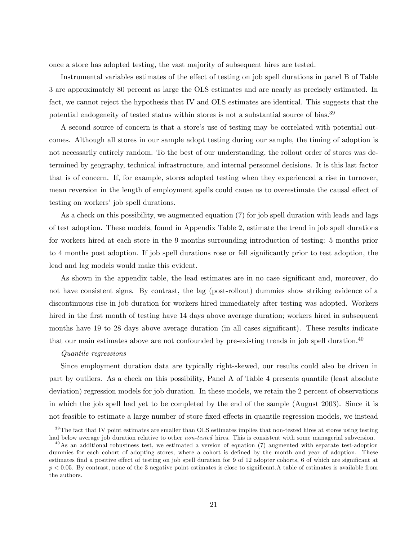once a store has adopted testing, the vast majority of subsequent hires are tested.

Instrumental variables estimates of the effect of testing on job spell durations in panel B of Table 3 are approximately 80 percent as large the OLS estimates and are nearly as precisely estimated. In fact, we cannot reject the hypothesis that IV and OLS estimates are identical. This suggests that the potential endogeneity of tested status within stores is not a substantial source of bias.<sup>39</sup>

A second source of concern is that a store's use of testing may be correlated with potential outcomes. Although all stores in our sample adopt testing during our sample, the timing of adoption is not necessarily entirely random. To the best of our understanding, the rollout order of stores was determined by geography, technical infrastructure, and internal personnel decisions. It is this last factor that is of concern. If, for example, stores adopted testing when they experienced a rise in turnover, mean reversion in the length of employment spells could cause us to overestimate the causal effect of testing on workers' job spell durations.

As a check on this possibility, we augmented equation (7) for job spell duration with leads and lags of test adoption. These models, found in Appendix Table 2, estimate the trend in job spell durations for workers hired at each store in the 9 months surrounding introduction of testing: 5 months prior to 4 months post adoption. If job spell durations rose or fell significantly prior to test adoption, the lead and lag models would make this evident.

As shown in the appendix table, the lead estimates are in no case significant and, moreover, do not have consistent signs. By contrast, the lag (post-rollout) dummies show striking evidence of a discontinuous rise in job duration for workers hired immediately after testing was adopted. Workers hired in the first month of testing have 14 days above average duration; workers hired in subsequent months have 19 to 28 days above average duration (in all cases significant). These results indicate that our main estimates above are not confounded by pre-existing trends in job spell duration.<sup>40</sup>

#### Quantile regressions

Since employment duration data are typically right-skewed, our results could also be driven in part by outliers. As a check on this possibility, Panel A of Table 4 presents quantile (least absolute deviation) regression models for job duration. In these models, we retain the 2 percent of observations in which the job spell had yet to be completed by the end of the sample (August 2003). Since it is not feasible to estimate a large number of store fixed effects in quantile regression models, we instead

 $39$ The fact that IV point estimates are smaller than OLS estimates implies that non-tested hires at stores using testing had below average job duration relative to other non-tested hires. This is consistent with some managerial subversion.

 $^{40}$ As an additional robustness test, we estimated a version of equation (7) augmented with separate test-adoption dummies for each cohort of adopting stores, where a cohort is defined by the month and year of adoption. These estimates find a positive effect of testing on job spell duration for 9 of 12 adopter cohorts, 6 of which are significant at  $p < 0.05$ . By contrast, none of the 3 negative point estimates is close to significant. A table of estimates is available from the authors.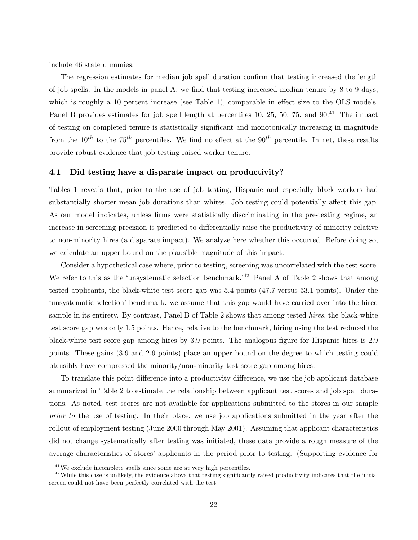include 46 state dummies.

The regression estimates for median job spell duration confirm that testing increased the length of job spells. In the models in panel A, we find that testing increased median tenure by 8 to 9 days, which is roughly a 10 percent increase (see Table 1), comparable in effect size to the OLS models. Panel B provides estimates for job spell length at percentiles 10, 25, 50, 75, and 90.<sup>41</sup> The impact of testing on completed tenure is statistically signiÖcant and monotonically increasing in magnitude from the  $10^{th}$  to the 75<sup>th</sup> percentiles. We find no effect at the 90<sup>th</sup> percentile. In net, these results provide robust evidence that job testing raised worker tenure.

### 4.1 Did testing have a disparate impact on productivity?

Tables 1 reveals that, prior to the use of job testing, Hispanic and especially black workers had substantially shorter mean job durations than whites. Job testing could potentially affect this gap. As our model indicates, unless firms were statistically discriminating in the pre-testing regime, an increase in screening precision is predicted to differentially raise the productivity of minority relative to non-minority hires (a disparate impact). We analyze here whether this occurred. Before doing so, we calculate an upper bound on the plausible magnitude of this impact.

Consider a hypothetical case where, prior to testing, screening was uncorrelated with the test score. We refer to this as the 'unsystematic selection benchmark.<sup>42</sup> Panel A of Table 2 shows that among tested applicants, the black-white test score gap was 5:4 points (47:7 versus 53:1 points). Under the 'unsystematic selection' benchmark, we assume that this gap would have carried over into the hired sample in its entirety. By contrast, Panel B of Table 2 shows that among tested *hires*, the black-white test score gap was only 1:5 points. Hence, relative to the benchmark, hiring using the test reduced the black-white test score gap among hires by 3.9 points. The analogous figure for Hispanic hires is 2.9 points. These gains (3:9 and 2:9 points) place an upper bound on the degree to which testing could plausibly have compressed the minority/non-minority test score gap among hires.

To translate this point difference into a productivity difference, we use the job applicant database summarized in Table 2 to estimate the relationship between applicant test scores and job spell durations. As noted, test scores are not available for applications submitted to the stores in our sample prior to the use of testing. In their place, we use job applications submitted in the year after the rollout of employment testing (June 2000 through May 2001). Assuming that applicant characteristics did not change systematically after testing was initiated, these data provide a rough measure of the average characteristics of stores' applicants in the period prior to testing. (Supporting evidence for

 $41$ We exclude incomplete spells since some are at very high percentiles.

 $42$  While this case is unlikely, the evidence above that testing significantly raised productivity indicates that the initial screen could not have been perfectly correlated with the test.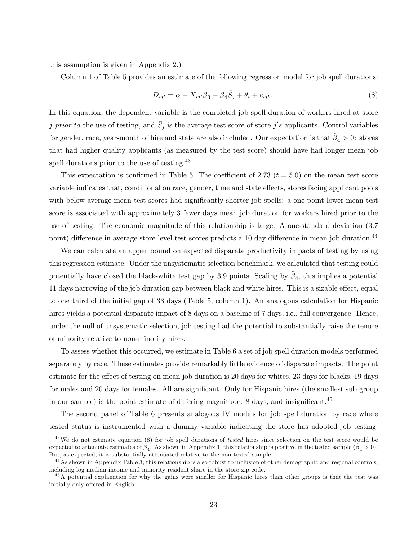this assumption is given in Appendix 2.)

Column 1 of Table 5 provides an estimate of the following regression model for job spell durations:

$$
D_{ijt} = \alpha + X_{ijt}\beta_3 + \beta_4\overline{S}_j + \theta_t + e_{ijt}.
$$
\n(8)

In this equation, the dependent variable is the completed job spell duration of workers hired at store j prior to the use of testing, and  $\bar{S}_j$  is the average test score of store j's applicants. Control variables for gender, race, year-month of hire and state are also included. Our expectation is that  $\hat{\beta}_4 > 0$ : stores that had higher quality applicants (as measured by the test score) should have had longer mean job spell durations prior to the use of testing.<sup>43</sup>

This expectation is confirmed in Table 5. The coefficient of 2.73 ( $t = 5.0$ ) on the mean test score variable indicates that, conditional on race, gender, time and state effects, stores facing applicant pools with below average mean test scores had significantly shorter job spells: a one point lower mean test score is associated with approximately 3 fewer days mean job duration for workers hired prior to the use of testing. The economic magnitude of this relationship is large. A one-standard deviation (3:7 point) difference in average store-level test scores predicts a 10 day difference in mean job duration.<sup>44</sup>

We can calculate an upper bound on expected disparate productivity impacts of testing by using this regression estimate. Under the unsystematic selection benchmark, we calculated that testing could potentially have closed the black-white test gap by 3.9 points. Scaling by  $\hat{\beta}_4$ , this implies a potential 11 days narrowing of the job duration gap between black and white hires. This is a sizable effect, equal to one third of the initial gap of 33 days (Table 5, column 1). An analogous calculation for Hispanic hires yields a potential disparate impact of 8 days on a baseline of 7 days, i.e., full convergence. Hence, under the null of unsystematic selection, job testing had the potential to substantially raise the tenure of minority relative to non-minority hires.

To assess whether this occurred, we estimate in Table 6 a set of job spell duration models performed separately by race. These estimates provide remarkably little evidence of disparate impacts. The point estimate for the effect of testing on mean job duration is 20 days for whites, 23 days for blacks, 19 days for males and 20 days for females. All are significant. Only for Hispanic hires (the smallest sub-group in our sample) is the point estimate of differing magnitude:  $8$  days, and insignificant.<sup>45</sup>

The second panel of Table 6 presents analogous IV models for job spell duration by race where tested status is instrumented with a dummy variable indicating the store has adopted job testing.

 $43$ We do not estimate equation (8) for job spell durations of tested hires since selection on the test score would be expected to attenuate estimates of  $\beta_4$ . As shown in Appendix 1, this relationship is positive in the tested sample  $(\hat{\beta}_4 > 0)$ . But, as expected, it is substantially attenuated relative to the non-tested sample.

<sup>&</sup>lt;sup>44</sup> As shown in Appendix Table 3, this relationship is also robust to inclusion of other demographic and regional controls, including log median income and minority resident share in the store zip code.

<sup>&</sup>lt;sup>45</sup>A potential explanation for why the gains were smaller for Hispanic hires than other groups is that the test was initially only offered in English.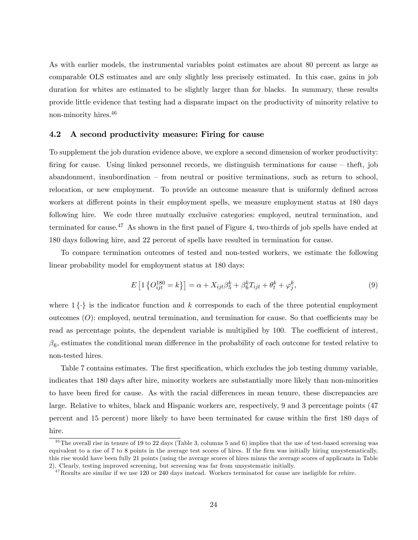As with earlier models, the instrumental variables point estimates are about 80 percent as large as comparable OLS estimates and are only slightly less precisely estimated. In this case, gains in job duration for whites are estimated to be slightly larger than for blacks. In summary, these results provide little evidence that testing had a disparate impact on the productivity of minority relative to non-minority hires.<sup>46</sup>

### 4.2 A second productivity measure: Firing for cause

To supplement the job duration evidence above, we explore a second dimension of worker productivity: firing for cause. Using linked personnel records, we distinguish terminations for cause  $-$  theft, job  $a$ bandonment, insubordination  $-\infty$  from neutral or positive terminations, such as return to school, relocation, or new employment. To provide an outcome measure that is uniformly defined across workers at different points in their employment spells, we measure employment status at 180 days following hire. We code three mutually exclusive categories: employed, neutral termination, and terminated for cause.<sup>47</sup> As shown in the first panel of Figure 4, two-thirds of job spells have ended at 180 days following hire, and 22 percent of spells have resulted in termination for cause.

To compare termination outcomes of tested and non-tested workers, we estimate the following linear probability model for employment status at 180 days:

$$
E\left[1\left\{O_{ijt}^{180} = k\right\}\right] = \alpha + X_{ijt}\beta_5^k + \beta_6^k T_{ijt} + \theta_t^k + \varphi_j^k,\tag{9}
$$

where  $1\{\cdot\}$  is the indicator function and k corresponds to each of the three potential employment outcomes  $(O)$ : employed, neutral termination, and termination for cause. So that coefficients may be read as percentage points, the dependent variable is multiplied by 100. The coefficient of interest,  $\beta_6$ , estimates the conditional mean difference in the probability of each outcome for tested relative to non-tested hires.

Table 7 contains estimates. The first specification, which excludes the job testing dummy variable, indicates that 180 days after hire, minority workers are substantially more likely than non-minorities to have been fired for cause. As with the racial differences in mean tenure, these discrepancies are large. Relative to whites, black and Hispanic workers are, respectively, 9 and 3 percentage points (47 percent and 15 percent) more likely to have been terminated for cause within the first 180 days of hire.

 $^{46}$ The overall rise in tenure of 19 to 22 days (Table 3, columns 5 and 6) implies that the use of test-based screening was equivalent to a rise of 7 to 8 points in the average test scores of hires. If the firm was initially hiring unsystematically, this rise would have been fully 21 points (using the average scores of hires minus the average scores of applicants in Table 2). Clearly, testing improved screening, but screening was far from unsystematic initially.

 $47$ Results are similar if we use 120 or 240 days instead. Workers terminated for cause are ineligible for rehire.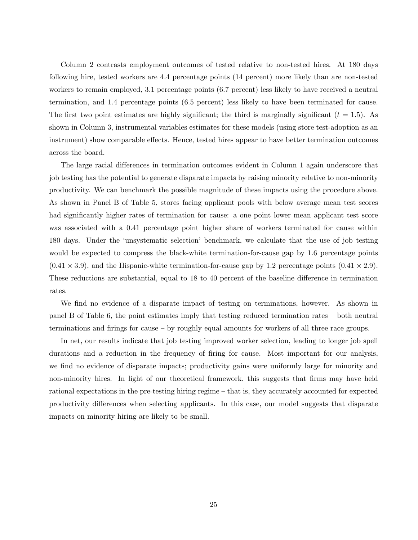Column 2 contrasts employment outcomes of tested relative to non-tested hires. At 180 days following hire, tested workers are 4:4 percentage points (14 percent) more likely than are non-tested workers to remain employed, 3.1 percentage points (6.7 percent) less likely to have received a neutral termination, and 1:4 percentage points (6:5 percent) less likely to have been terminated for cause. The first two point estimates are highly significant; the third is marginally significant ( $t = 1.5$ ). As shown in Column 3, instrumental variables estimates for these models (using store test-adoption as an instrument) show comparable effects. Hence, tested hires appear to have better termination outcomes across the board.

The large racial differences in termination outcomes evident in Column 1 again underscore that job testing has the potential to generate disparate impacts by raising minority relative to non-minority productivity. We can benchmark the possible magnitude of these impacts using the procedure above. As shown in Panel B of Table 5, stores facing applicant pools with below average mean test scores had significantly higher rates of termination for cause: a one point lower mean applicant test score was associated with a 0.41 percentage point higher share of workers terminated for cause within 180 days. Under the ëunsystematic selectioní benchmark, we calculate that the use of job testing would be expected to compress the black-white termination-for-cause gap by 1.6 percentage points  $(0.41 \times 3.9)$ , and the Hispanic-white termination-for-cause gap by 1.2 percentage points  $(0.41 \times 2.9)$ . These reductions are substantial, equal to 18 to 40 percent of the baseline difference in termination rates.

We find no evidence of a disparate impact of testing on terminations, however. As shown in panel B of Table 6, the point estimates imply that testing reduced termination rates  $-$  both neutral terminations and firings for cause  $-$  by roughly equal amounts for workers of all three race groups.

In net, our results indicate that job testing improved worker selection, leading to longer job spell durations and a reduction in the frequency of firing for cause. Most important for our analysis, we find no evidence of disparate impacts; productivity gains were uniformly large for minority and non-minority hires. In light of our theoretical framework, this suggests that firms may have held rational expectations in the pre-testing hiring regime – that is, they accurately accounted for expected productivity differences when selecting applicants. In this case, our model suggests that disparate impacts on minority hiring are likely to be small.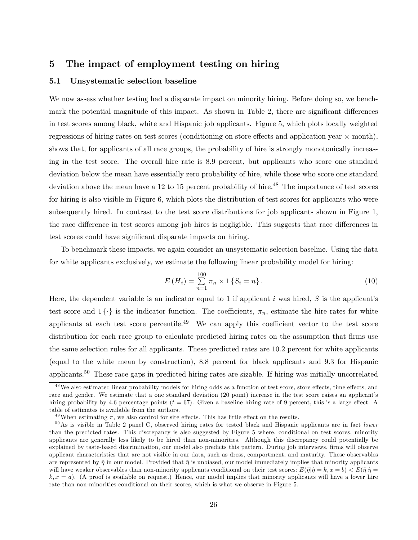## 5 The impact of employment testing on hiring

## 5.1 Unsystematic selection baseline

We now assess whether testing had a disparate impact on minority hiring. Before doing so, we benchmark the potential magnitude of this impact. As shown in Table 2, there are significant differences in test scores among black, white and Hispanic job applicants. Figure 5, which plots locally weighted regressions of hiring rates on test scores (conditioning on store effects and application year  $\times$  month), shows that, for applicants of all race groups, the probability of hire is strongly monotonically increasing in the test score. The overall hire rate is 8:9 percent, but applicants who score one standard deviation below the mean have essentially zero probability of hire, while those who score one standard deviation above the mean have a 12 to 15 percent probability of hire.<sup>48</sup> The importance of test scores for hiring is also visible in Figure 6, which plots the distribution of test scores for applicants who were subsequently hired. In contrast to the test score distributions for job applicants shown in Figure 1, the race difference in test scores among job hires is negligible. This suggests that race differences in test scores could have significant disparate impacts on hiring.

To benchmark these impacts, we again consider an unsystematic selection baseline. Using the data for white applicants exclusively, we estimate the following linear probability model for hiring:

$$
E(H_i) = \sum_{n=1}^{100} \pi_n \times 1 \{ S_i = n \}.
$$
\n(10)

Here, the dependent variable is an indicator equal to 1 if applicant  $i$  was hired,  $S$  is the applicant's test score and  $1 \{\cdot\}$  is the indicator function. The coefficients,  $\pi_n$ , estimate the hire rates for white applicants at each test score percentile.<sup>49</sup> We can apply this coefficient vector to the test score distribution for each race group to calculate predicted hiring rates on the assumption that firms use the same selection rules for all applicants. These predicted rates are 10:2 percent for white applicants (equal to the white mean by construction), 8:8 percent for black applicants and 9:3 for Hispanic applicants.<sup>50</sup> These race gaps in predicted hiring rates are sizable. If hiring was initially uncorrelated

 $48$ We also estimated linear probability models for hiring odds as a function of test score, store effects, time effects, and race and gender. We estimate that a one standard deviation (20 point) increase in the test score raises an applicant's hiring probability by 4.6 percentage points  $(t = 67)$ . Given a baseline hiring rate of 9 percent, this is a large effect. A table of estimates is available from the authors.

 $^{49}$ When estimating  $\pi$ , we also control for site effects. This has little effect on the results.

 $50$ As is visible in Table 2 panel C, observed hiring rates for tested black and Hispanic applicants are in fact lower than the predicted rates. This discrepancy is also suggested by Figure 5 where, conditional on test scores, minority applicants are generally less likely to be hired than non-minorities. Although this discrepancy could potentially be explained by taste-based discrimination, our model also predicts this pattern. During job interviews, firms will observe applicant characteristics that are not visible in our data, such as dress, comportment, and maturity. These observables are represented by  $\tilde{\eta}$  in our model. Provided that  $\tilde{\eta}$  is unbiased, our model immediately implies that minority applicants will have weaker observables than non-minority applicants conditional on their test scores:  $E(\tilde{\eta}|\hat{\eta} = k, x = b) < E(\tilde{\eta}|\hat{\eta} = b)$  $k, x = a$ ). (A proof is available on request.) Hence, our model implies that minority applicants will have a lower hire rate than non-minorities conditional on their scores, which is what we observe in Figure 5.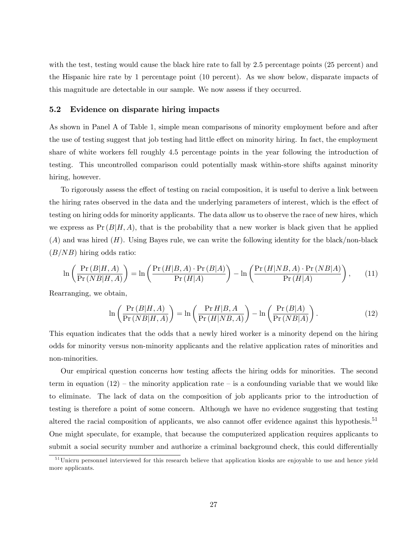with the test, testing would cause the black hire rate to fall by 2.5 percentage points (25 percent) and the Hispanic hire rate by 1 percentage point (10 percent). As we show below, disparate impacts of this magnitude are detectable in our sample. We now assess if they occurred.

### 5.2 Evidence on disparate hiring impacts

As shown in Panel A of Table 1, simple mean comparisons of minority employment before and after the use of testing suggest that job testing had little effect on minority hiring. In fact, the employment share of white workers fell roughly 4:5 percentage points in the year following the introduction of testing. This uncontrolled comparison could potentially mask within-store shifts against minority hiring, however.

To rigorously assess the effect of testing on racial composition, it is useful to derive a link between the hiring rates observed in the data and the underlying parameters of interest, which is the effect of testing on hiring odds for minority applicants. The data allow us to observe the race of new hires, which we express as  $Pr(B|H, A)$ , that is the probability that a new worker is black given that he applied  $(A)$  and was hired  $(H)$ . Using Bayes rule, we can write the following identity for the black/non-black  $(B/NB)$  hiring odds ratio:

$$
\ln\left(\frac{\Pr(B|H,A)}{\Pr(NB|H,A)}\right) = \ln\left(\frac{\Pr(H|B,A)\cdot\Pr(B|A)}{\Pr(H|A)}\right) - \ln\left(\frac{\Pr(H|NB,A)\cdot\Pr(NB|A)}{\Pr(H|A)}\right),\tag{11}
$$

Rearranging, we obtain,

$$
\ln\left(\frac{\Pr(B|H,A)}{\Pr(NB|H,A)}\right) = \ln\left(\frac{\Pr H|B,A}{\Pr(H|NB,A)}\right) - \ln\left(\frac{\Pr(B|A)}{\Pr(NB|A)}\right). \tag{12}
$$

This equation indicates that the odds that a newly hired worker is a minority depend on the hiring odds for minority versus non-minority applicants and the relative application rates of minorities and non-minorities.

Our empirical question concerns how testing affects the hiring odds for minorities. The second term in equation  $(12)$  – the minority application rate – is a confounding variable that we would like to eliminate. The lack of data on the composition of job applicants prior to the introduction of testing is therefore a point of some concern. Although we have no evidence suggesting that testing altered the racial composition of applicants, we also cannot offer evidence against this hypothesis.<sup>51</sup> One might speculate, for example, that because the computerized application requires applicants to submit a social security number and authorize a criminal background check, this could differentially

<sup>&</sup>lt;sup>51</sup>Unicru personnel interviewed for this research believe that application kiosks are enjoyable to use and hence yield more applicants.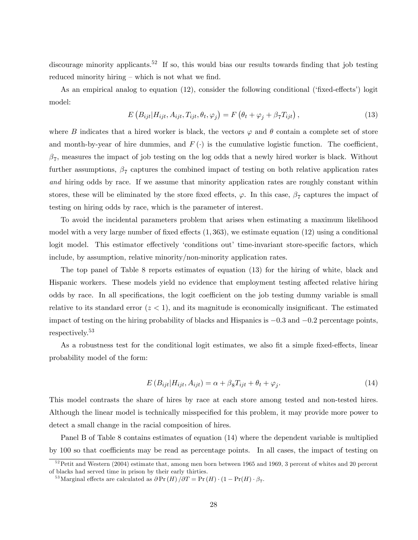discourage minority applicants.<sup>52</sup> If so, this would bias our results towards finding that job testing reduced minority hiring  $\sim$  which is not what we find.

As an empirical analog to equation  $(12)$ , consider the following conditional ('fixed-effects') logit model:

$$
E\left(B_{ijt}|H_{ijt}, A_{ijt}, T_{ijt}, \theta_t, \varphi_j\right) = F\left(\theta_t + \varphi_j + \beta_7 T_{ijt}\right),\tag{13}
$$

where B indicates that a hired worker is black, the vectors  $\varphi$  and  $\theta$  contain a complete set of store and month-by-year of hire dummies, and  $F(\cdot)$  is the cumulative logistic function. The coefficient,  $\beta_7$ , measures the impact of job testing on the log odds that a newly hired worker is black. Without further assumptions,  $\beta_7$  captures the combined impact of testing on both relative application rates and hiring odds by race. If we assume that minority application rates are roughly constant within stores, these will be eliminated by the store fixed effects,  $\varphi$ . In this case,  $\beta_7$  captures the impact of testing on hiring odds by race, which is the parameter of interest.

To avoid the incidental parameters problem that arises when estimating a maximum likelihood model with a very large number of fixed effects  $(1, 363)$ , we estimate equation  $(12)$  using a conditional logit model. This estimator effectively 'conditions out' time-invariant store-specific factors, which include, by assumption, relative minority/non-minority application rates.

The top panel of Table 8 reports estimates of equation (13) for the hiring of white, black and Hispanic workers. These models yield no evidence that employment testing affected relative hiring odds by race. In all specifications, the logit coefficient on the job testing dummy variable is small relative to its standard error  $(z < 1)$ , and its magnitude is economically insignificant. The estimated impact of testing on the hiring probability of blacks and Hispanics is  $-0.3$  and  $-0.2$  percentage points, respectively.<sup>53</sup>

As a robustness test for the conditional logit estimates, we also fit a simple fixed-effects, linear probability model of the form:

$$
E(B_{ijt}|H_{ijt}, A_{ijt}) = \alpha + \beta_8 T_{ijt} + \theta_t + \varphi_j.
$$
\n(14)

This model contrasts the share of hires by race at each store among tested and non-tested hires. Although the linear model is technically misspecified for this problem, it may provide more power to detect a small change in the racial composition of hires.

Panel B of Table 8 contains estimates of equation (14) where the dependent variable is multiplied by 100 so that coefficients may be read as percentage points. In all cases, the impact of testing on

 $52$  Petit and Western (2004) estimate that, among men born between 1965 and 1969, 3 percent of whites and 20 percent of blacks had served time in prison by their early thirties.

<sup>&</sup>lt;sup>53</sup>Marginal effects are calculated as  $\partial \Pr(H) / \partial T = \Pr(H) \cdot (1 - \Pr(H) \cdot \beta_7$ .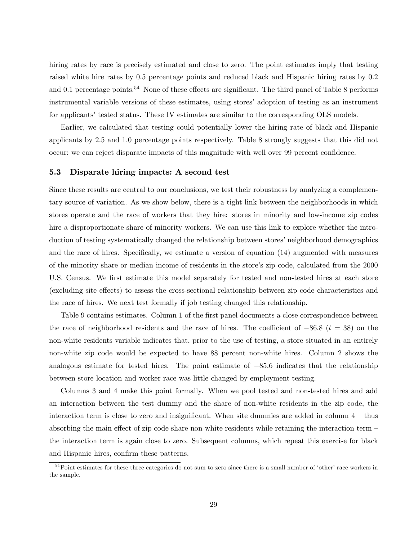hiring rates by race is precisely estimated and close to zero. The point estimates imply that testing raised white hire rates by 0:5 percentage points and reduced black and Hispanic hiring rates by 0:2 and 0.1 percentage points.<sup>54</sup> None of these effects are significant. The third panel of Table 8 performs instrumental variable versions of these estimates, using stores' adoption of testing as an instrument for applicants' tested status. These IV estimates are similar to the corresponding OLS models.

Earlier, we calculated that testing could potentially lower the hiring rate of black and Hispanic applicants by 2:5 and 1:0 percentage points respectively. Table 8 strongly suggests that this did not occur: we can reject disparate impacts of this magnitude with well over 99 percent confidence.

### 5.3 Disparate hiring impacts: A second test

Since these results are central to our conclusions, we test their robustness by analyzing a complementary source of variation. As we show below, there is a tight link between the neighborhoods in which stores operate and the race of workers that they hire: stores in minority and low-income zip codes hire a disproportionate share of minority workers. We can use this link to explore whether the introduction of testing systematically changed the relationship between stores' neighborhood demographics and the race of hires. Specifically, we estimate a version of equation  $(14)$  augmented with measures of the minority share or median income of residents in the store's zip code, calculated from the 2000 U.S. Census. We first estimate this model separately for tested and non-tested hires at each store (excluding site effects) to assess the cross-sectional relationship between zip code characteristics and the race of hires. We next test formally if job testing changed this relationship.

Table 9 contains estimates. Column 1 of the first panel documents a close correspondence between the race of neighborhood residents and the race of hires. The coefficient of  $-86.8$  ( $t = 38$ ) on the non-white residents variable indicates that, prior to the use of testing, a store situated in an entirely non-white zip code would be expected to have 88 percent non-white hires. Column 2 shows the analogous estimate for tested hires. The point estimate of  $-85.6$  indicates that the relationship between store location and worker race was little changed by employment testing.

Columns 3 and 4 make this point formally. When we pool tested and non-tested hires and add an interaction between the test dummy and the share of non-white residents in the zip code, the interaction term is close to zero and insignificant. When site dummies are added in column  $4$  – thus absorbing the main effect of zip code share non-white residents while retaining the interaction term  $\overline{\phantom{a}}$ the interaction term is again close to zero. Subsequent columns, which repeat this exercise for black and Hispanic hires, confirm these patterns.

 $54}$ Point estimates for these three categories do not sum to zero since there is a small number of 'other' race workers in the sample.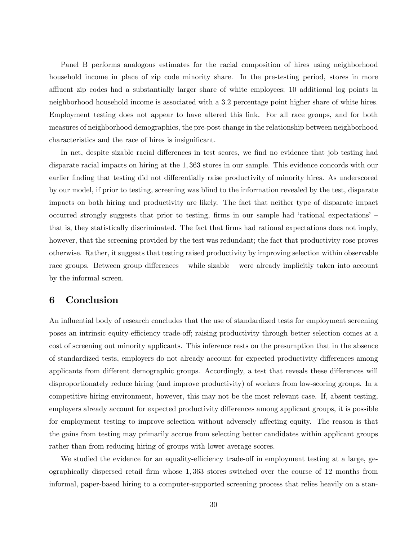Panel B performs analogous estimates for the racial composition of hires using neighborhood household income in place of zip code minority share. In the pre-testing period, stores in more affluent zip codes had a substantially larger share of white employees; 10 additional log points in neighborhood household income is associated with a 3:2 percentage point higher share of white hires. Employment testing does not appear to have altered this link. For all race groups, and for both measures of neighborhood demographics, the pre-post change in the relationship between neighborhood characteristics and the race of hires is insignificant.

In net, despite sizable racial differences in test scores, we find no evidence that job testing had disparate racial impacts on hiring at the 1; 363 stores in our sample. This evidence concords with our earlier finding that testing did not differentially raise productivity of minority hires. As underscored by our model, if prior to testing, screening was blind to the information revealed by the test, disparate impacts on both hiring and productivity are likely. The fact that neither type of disparate impact occurred strongly suggests that prior to testing, firms in our sample had 'rational expectations' that is, they statistically discriminated. The fact that Örms had rational expectations does not imply, however, that the screening provided by the test was redundant; the fact that productivity rose proves otherwise. Rather, it suggests that testing raised productivity by improving selection within observable race groups. Between group differences  $\overline{\phantom{a}}$  while sizable  $\overline{\phantom{a}}$  were already implicitly taken into account by the informal screen.

## 6 Conclusion

An influential body of research concludes that the use of standardized tests for employment screening poses an intrinsic equity-efficiency trade-off; raising productivity through better selection comes at a cost of screening out minority applicants. This inference rests on the presumption that in the absence of standardized tests, employers do not already account for expected productivity differences among applicants from different demographic groups. Accordingly, a test that reveals these differences will disproportionately reduce hiring (and improve productivity) of workers from low-scoring groups. In a competitive hiring environment, however, this may not be the most relevant case. If, absent testing, employers already account for expected productivity differences among applicant groups, it is possible for employment testing to improve selection without adversely affecting equity. The reason is that the gains from testing may primarily accrue from selecting better candidates within applicant groups rather than from reducing hiring of groups with lower average scores.

We studied the evidence for an equality-efficiency trade-off in employment testing at a large, geographically dispersed retail Örm whose 1; 363 stores switched over the course of 12 months from informal, paper-based hiring to a computer-supported screening process that relies heavily on a stan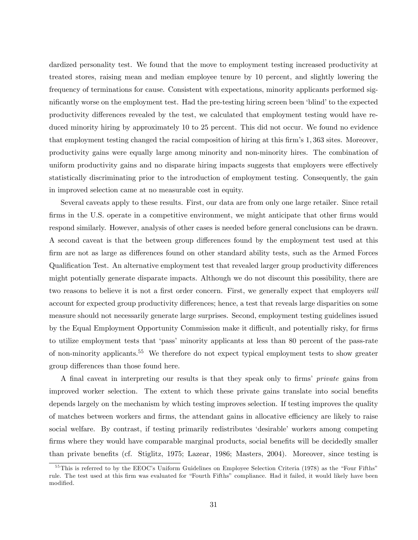dardized personality test. We found that the move to employment testing increased productivity at treated stores, raising mean and median employee tenure by 10 percent, and slightly lowering the frequency of terminations for cause. Consistent with expectations, minority applicants performed significantly worse on the employment test. Had the pre-testing hiring screen been 'blind' to the expected productivity differences revealed by the test, we calculated that employment testing would have reduced minority hiring by approximately 10 to 25 percent. This did not occur. We found no evidence that employment testing changed the racial composition of hiring at this firm's 1,363 sites. Moreover, productivity gains were equally large among minority and non-minority hires. The combination of uniform productivity gains and no disparate hiring impacts suggests that employers were effectively statistically discriminating prior to the introduction of employment testing. Consequently, the gain in improved selection came at no measurable cost in equity.

Several caveats apply to these results. First, our data are from only one large retailer. Since retail firms in the U.S. operate in a competitive environment, we might anticipate that other firms would respond similarly. However, analysis of other cases is needed before general conclusions can be drawn. A second caveat is that the between group differences found by the employment test used at this firm are not as large as differences found on other standard ability tests, such as the Armed Forces Qualification Test. An alternative employment test that revealed larger group productivity differences might potentially generate disparate impacts. Although we do not discount this possibility, there are two reasons to believe it is not a first order concern. First, we generally expect that employers will account for expected group productivity differences; hence, a test that reveals large disparities on some measure should not necessarily generate large surprises. Second, employment testing guidelines issued by the Equal Employment Opportunity Commission make it difficult, and potentially risky, for firms to utilize employment tests that 'pass' minority applicants at less than 80 percent of the pass-rate of non-minority applicants.<sup>55</sup> We therefore do not expect typical employment tests to show greater group differences than those found here.

A final caveat in interpreting our results is that they speak only to firms' *private* gains from improved worker selection. The extent to which these private gains translate into social benefits depends largely on the mechanism by which testing improves selection. If testing improves the quality of matches between workers and firms, the attendant gains in allocative efficiency are likely to raise social welfare. By contrast, if testing primarily redistributes 'desirable' workers among competing firms where they would have comparable marginal products, social benefits will be decidedly smaller than private benefits (cf. Stiglitz, 1975; Lazear, 1986; Masters, 2004). Moreover, since testing is

 $55$ This is referred to by the EEOC's Uniform Guidelines on Employee Selection Criteria (1978) as the "Four Fifths" rule. The test used at this firm was evaluated for "Fourth Fifths" compliance. Had it failed, it would likely have been modified.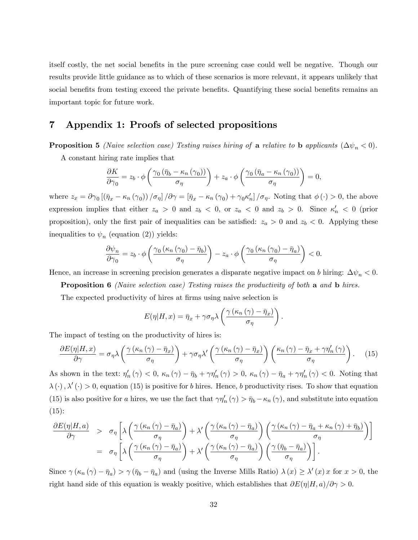itself costly, the net social benefits in the pure screening case could well be negative. Though our results provide little guidance as to which of these scenarios is more relevant, it appears unlikely that social benefits from testing exceed the private benefits. Quantifying these social benefits remains an important topic for future work.

## 7 Appendix 1: Proofs of selected propositions

**Proposition 5** (Naive selection case) Testing raises hiring of a relative to b applicants  $(\Delta \psi_n < 0)$ .

A constant hiring rate implies that

$$
\frac{\partial K}{\partial \gamma_0} = z_b \cdot \phi \left( \frac{\gamma_0 \left( \bar{\eta}_b - \kappa_n \left( \gamma_0 \right) \right)}{\sigma_\eta} \right) + z_a \cdot \phi \left( \frac{\gamma_0 \left( \bar{\eta}_a - \kappa_n \left( \gamma_0 \right) \right)}{\sigma_\eta} \right) = 0,
$$

where  $z_x = \partial \gamma_0 \left[ \left( \bar{\eta}_x - \kappa_n(\gamma_0) \right) / \sigma_\eta \right] / \partial \gamma = \left[ \bar{\eta}_x - \kappa_n(\gamma_0) + \gamma_0 \kappa_n' \right] / \sigma_\eta$ . Noting that  $\phi(\cdot) > 0$ , the above expression implies that either  $z_a > 0$  and  $z_b < 0$ , or  $z_a < 0$  and  $z_b > 0$ . Since  $\kappa'_n < 0$  (prior proposition), only the first pair of inequalities can be satisfied:  $z_a > 0$  and  $z_b < 0$ . Applying these inequalities to  $\psi_n$  (equation (2)) yields:

$$
\frac{\partial \psi_n}{\partial \gamma_0} = z_b \cdot \phi \left( \frac{\gamma_0 \left( \kappa_n \left( \gamma_0 \right) - \bar{\eta}_b \right)}{\sigma_\eta} \right) - z_a \cdot \phi \left( \frac{\gamma_0 \left( \kappa_n \left( \gamma_0 \right) - \bar{\eta}_a \right)}{\sigma_\eta} \right) < 0.
$$

Hence, an increase in screening precision generates a disparate negative impact on b hiring:  $\Delta \psi_n < 0$ .

Proposition 6 (Naive selection case) Testing raises the productivity of both a and b hires.

The expected productivity of hires at firms using naive selection is

$$
E(\eta|H,x) = \bar{\eta}_x + \gamma \sigma_\eta \lambda \left( \frac{\gamma (\kappa_n (\gamma) - \bar{\eta}_x)}{\sigma_\eta} \right)
$$

:

The impact of testing on the productivity of hires is:

$$
\frac{\partial E(\eta|H,x)}{\partial \gamma} = \sigma_{\eta} \lambda \left( \frac{\gamma (\kappa_n (\gamma) - \bar{\eta}_x)}{\sigma_{\eta}} \right) + \gamma \sigma_{\eta} \lambda' \left( \frac{\gamma (\kappa_n (\gamma) - \bar{\eta}_x)}{\sigma_{\eta}} \right) \left( \frac{\kappa_n (\gamma) - \bar{\eta}_x + \gamma \eta'_n (\gamma)}{\sigma_{\eta}} \right). \tag{15}
$$

As shown in the text:  $\eta'_n(\gamma) < 0$ ,  $\kappa_n(\gamma) - \bar{\eta}_b + \gamma \eta'_n(\gamma) > 0$ ,  $\kappa_n(\gamma) - \bar{\eta}_a + \gamma \eta'_n(\gamma) < 0$ . Noting that  $\lambda(\cdot), \lambda'(\cdot) > 0$ , equation (15) is positive for b hires. Hence, b productivity rises. To show that equation (15) is also positive for a hires, we use the fact that  $\gamma\eta'_n(\gamma) > \bar{\eta}_b - \kappa_n(\gamma)$ , and substitute into equation  $(15):$ 

$$
\frac{\partial E(\eta|H,a)}{\partial \gamma} \geq \sigma_{\eta} \left[ \lambda \left( \frac{\gamma (\kappa_n (\gamma) - \bar{\eta}_a)}{\sigma_{\eta}} \right) + \lambda' \left( \frac{\gamma (\kappa_n (\gamma) - \bar{\eta}_a)}{\sigma_{\eta}} \right) \left( \frac{\gamma (\kappa_n (\gamma) - \bar{\eta}_a + \kappa_n (\gamma) + \bar{\eta}_b)}{\sigma_{\eta}} \right) \right]
$$
  

$$
= \sigma_{\eta} \left[ \lambda \left( \frac{\gamma (\kappa_n (\gamma) - \bar{\eta}_a)}{\sigma_{\eta}} \right) + \lambda' \left( \frac{\gamma (\kappa_n (\gamma) - \bar{\eta}_a)}{\sigma_{\eta}} \right) \left( \frac{\gamma (\bar{\eta}_b - \bar{\eta}_a)}{\sigma_{\eta}} \right) \right].
$$

Since  $\gamma(\kappa_n(\gamma) - \bar{\eta}_a) > \gamma(\bar{\eta}_b - \bar{\eta}_a)$  and (using the Inverse Mills Ratio)  $\lambda(x) \geq \lambda'(x)x$  for  $x > 0$ , the right hand side of this equation is weakly positive, which establishes that  $\partial E(\eta|H, a)/\partial \gamma > 0$ .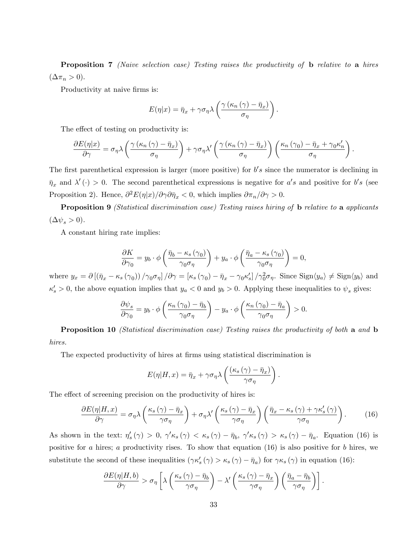Proposition 7 (Naive selection case) Testing raises the productivity of **b** relative to a hires  $(\Delta \pi_n > 0).$ 

Productivity at naive firms is:

$$
E(\eta|x) = \bar{\eta}_x + \gamma \sigma_\eta \lambda \left( \frac{\gamma (\kappa_n (\gamma) - \bar{\eta}_x)}{\sigma_\eta} \right)
$$

:

The effect of testing on productivity is:

$$
\frac{\partial E(\eta|x)}{\partial \gamma} = \sigma_{\eta} \lambda \left( \frac{\gamma (\kappa_n (\gamma) - \bar{\eta}_x)}{\sigma_{\eta}} \right) + \gamma \sigma_{\eta} \lambda' \left( \frac{\gamma (\kappa_n (\gamma) - \bar{\eta}_x)}{\sigma_{\eta}} \right) \left( \frac{\kappa_n (\gamma_0) - \bar{\eta}_x + \gamma_0 \kappa'_n}{\sigma_{\eta}} \right).
$$

The first parenthetical expression is larger (more positive) for  $b's$  since the numerator is declining in  $\bar{\eta}_x$  and  $\lambda'(\cdot) > 0$ . The second parenthetical expressions is negative for a's and positive for b's (see Proposition 2). Hence,  $\partial^2 E(\eta|x)/\partial \gamma \partial \bar{\eta}_x < 0$ , which implies  $\partial \pi_n/\partial \gamma > 0$ .

Proposition 9 *(Statistical discrimination case)* Testing raises hiring of **b** relative to a applicants  $(\Delta \psi_s > 0).$ 

A constant hiring rate implies:

$$
\frac{\partial K}{\partial \gamma_0} = y_b \cdot \phi \left( \frac{\bar{\eta}_b - \kappa_s (\gamma_0)}{\gamma_0 \sigma_\eta} \right) + y_a \cdot \phi \left( \frac{\bar{\eta}_a - \kappa_s (\gamma_0)}{\gamma_0 \sigma_\eta} \right) = 0,
$$

where  $y_x = \partial \left[ (\bar{\eta}_x - \kappa_s(\gamma_0)) / \gamma_0 \sigma_{\eta} \right] / \partial \gamma = \left[ \kappa_s(\gamma_0) - \bar{\eta}_x - \gamma_0 \kappa_s' \right] / \gamma_0^2 \sigma_{\eta}$ . Since  $\text{Sign} \langle y_a \rangle \neq \text{Sign} \langle y_b \rangle$  and  $\kappa_s' > 0$ , the above equation implies that  $y_a < 0$  and  $y_b > 0$ . Applying these inequalities to  $\psi_s$  gives:

$$
\frac{\partial \psi_s}{\partial \gamma_0} = y_b \cdot \phi \left( \frac{\kappa_n \left( \gamma_0 \right) - \bar{\eta}_b}{\gamma_0 \sigma_\eta} \right) - y_a \cdot \phi \left( \frac{\kappa_n \left( \gamma_0 \right) - \bar{\eta}_a}{\gamma_0 \sigma_\eta} \right) > 0.
$$

Proposition 10 *(Statistical discrimination case)* Testing raises the productivity of both a and b hires.

The expected productivity of hires at firms using statistical discrimination is

$$
E(\eta|H,x) = \bar{\eta}_x + \gamma \sigma_\eta \lambda \left( \frac{(\kappa_s(\gamma) - \bar{\eta}_x)}{\gamma \sigma_\eta} \right).
$$

The effect of screening precision on the productivity of hires is:

$$
\frac{\partial E(\eta|H,x)}{\partial \gamma} = \sigma_{\eta} \lambda \left( \frac{\kappa_s(\gamma) - \bar{\eta}_x}{\gamma \sigma_{\eta}} \right) + \sigma_{\eta} \lambda' \left( \frac{\kappa_s(\gamma) - \bar{\eta}_x}{\gamma \sigma_{\eta}} \right) \left( \frac{\bar{\eta}_x - \kappa_s(\gamma) + \gamma \kappa'_s(\gamma)}{\gamma \sigma_{\eta}} \right). \tag{16}
$$

As shown in the text:  $\eta_s'(\gamma) > 0$ ,  $\gamma' \kappa_s(\gamma) < \kappa_s(\gamma) - \bar{\eta}_b$ ,  $\gamma' \kappa_s(\gamma) > \kappa_s(\gamma) - \bar{\eta}_a$ . Equation (16) is positive for a hires; a productivity rises. To show that equation  $(16)$  is also positive for b hires, we substitute the second of these inequalities  $(\gamma \kappa_s'(\gamma) > \kappa_s(\gamma) - \bar{\eta}_a)$  for  $\gamma \kappa_s(\gamma)$  in equation (16):

$$
\frac{\partial E(\eta|H,b)}{\partial \gamma} > \sigma_{\eta} \left[ \lambda \left( \frac{\kappa_s(\gamma) - \bar{\eta}_b}{\gamma \sigma_{\eta}} \right) - \lambda' \left( \frac{\kappa_s(\gamma) - \bar{\eta}_x}{\gamma \sigma_{\eta}} \right) \left( \frac{\bar{\eta}_a - \bar{\eta}_b}{\gamma \sigma_{\eta}} \right) \right].
$$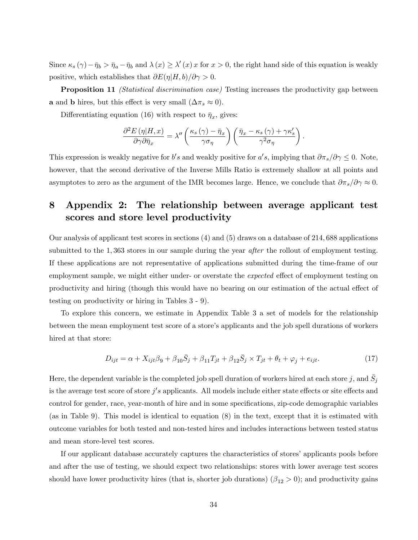Since  $\kappa_s(\gamma) - \bar{\eta}_b > \bar{\eta}_a - \bar{\eta}_b$  and  $\lambda(x) \ge \lambda'(x) x$  for  $x > 0$ , the right hand side of this equation is weakly positive, which establishes that  $\partial E(\eta|H, b)/\partial \gamma > 0$ .

**Proposition 11** *(Statistical discrimination case)* Testing increases the productivity gap between **a** and **b** hires, but this effect is very small  $(\Delta \pi_s \approx 0)$ .

Differentiating equation (16) with respect to  $\bar{\eta}_x$ , gives:

$$
\frac{\partial^2 E(\eta|H,x)}{\partial \gamma \partial \bar{\eta}_x} = \lambda'' \left( \frac{\kappa_s(\gamma) - \bar{\eta}_x}{\gamma \sigma_\eta} \right) \left( \frac{\bar{\eta}_x - \kappa_s(\gamma) + \gamma \kappa'_s}{\gamma^2 \sigma_\eta} \right).
$$

This expression is weakly negative for  $b's$  and weakly positive for  $a's$ , implying that  $\partial \pi_s/\partial \gamma \leq 0$ . Note, however, that the second derivative of the Inverse Mills Ratio is extremely shallow at all points and asymptotes to zero as the argument of the IMR becomes large. Hence, we conclude that  $\partial \pi_s/\partial \gamma \approx 0$ .

# 8 Appendix 2: The relationship between average applicant test scores and store level productivity

Our analysis of applicant test scores in sections (4) and (5) draws on a database of 214; 688 applications submitted to the 1,363 stores in our sample during the year *after* the rollout of employment testing. If these applications are not representative of applications submitted during the time-frame of our employment sample, we might either under- or overstate the *expected* effect of employment testing on productivity and hiring (though this would have no bearing on our estimation of the actual effect of testing on productivity or hiring in Tables 3 - 9).

To explore this concern, we estimate in Appendix Table 3 a set of models for the relationship between the mean employment test score of a store's applicants and the job spell durations of workers hired at that store:

$$
D_{ijt} = \alpha + X_{ijt}\beta_9 + \beta_{10}\overline{S}_j + \beta_{11}T_{jt} + \beta_{12}\overline{S}_j \times T_{jt} + \theta_t + \varphi_j + e_{ijt}.
$$
\n(17)

Here, the dependent variable is the completed job spell duration of workers hired at each store  $j$ , and  $\bar{S}_j$ is the average test score of store  $j's$  applicants. All models include either state effects or site effects and control for gender, race, year-month of hire and in some specifications, zip-code demographic variables (as in Table 9). This model is identical to equation (8) in the text, except that it is estimated with outcome variables for both tested and non-tested hires and includes interactions between tested status and mean store-level test scores.

If our applicant database accurately captures the characteristics of stores' applicants pools before and after the use of testing, we should expect two relationships: stores with lower average test scores should have lower productivity hires (that is, shorter job durations)  $(\beta_{12} > 0)$ ; and productivity gains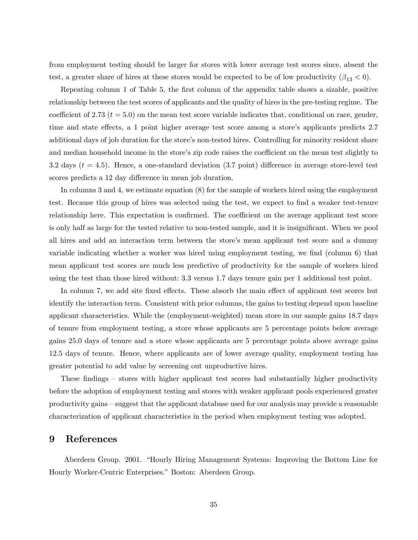from employment testing should be larger for stores with lower average test scores since, absent the test, a greater share of hires at these stores would be expected to be of low productivity  $(\beta_{13} < 0)$ .

Repeating column 1 of Table 5, the first column of the appendix table shows a sizable, positive relationship between the test scores of applicants and the quality of hires in the pre-testing regime. The coefficient of 2.73 ( $t = 5.0$ ) on the mean test score variable indicates that, conditional on race, gender, time and state effects, a 1 point higher average test score among a store's applicants predicts 2.7 additional days of job duration for the store's non-tested hires. Controlling for minority resident share and median household income in the store's zip code raises the coefficient on the mean test slightly to 3.2 days  $(t = 4.5)$ . Hence, a one-standard deviation (3.7 point) difference in average store-level test scores predicts a 12 day difference in mean job duration.

In columns 3 and 4, we estimate equation (8) for the sample of workers hired using the employment test. Because this group of hires was selected using the test, we expect to find a weaker test-tenure relationship here. This expectation is confirmed. The coefficient on the average applicant test score is only half as large for the tested relative to non-tested sample, and it is insignificant. When we pool all hires and add an interaction term between the store's mean applicant test score and a dummy variable indicating whether a worker was hired using employment testing, we find (column 6) that mean applicant test scores are much less predictive of productivity for the sample of workers hired using the test than those hired without: 3:3 versus 1:7 days tenure gain per 1 additional test point.

In column 7, we add site fixed effects. These absorb the main effect of applicant test scores but identify the interaction term. Consistent with prior columns, the gains to testing depend upon baseline applicant characteristics. While the (employment-weighted) mean store in our sample gains 18:7 days of tenure from employment testing, a store whose applicants are 5 percentage points below average gains 25:0 days of tenure and a store whose applicants are 5 percentage points above average gains 12:5 days of tenure. Hence, where applicants are of lower average quality, employment testing has greater potential to add value by screening out unproductive hires.

These findings – stores with higher applicant test scores had substantially higher productivity before the adoption of employment testing and stores with weaker applicant pools experienced greater productivity gains – suggest that the applicant database used for our analysis may provide a reasonable characterization of applicant characteristics in the period when employment testing was adopted.

## 9 References

Aberdeen Group. 2001. "Hourly Hiring Management Systems: Improving the Bottom Line for Hourly Worker-Centric Enterprises." Boston: Aberdeen Group.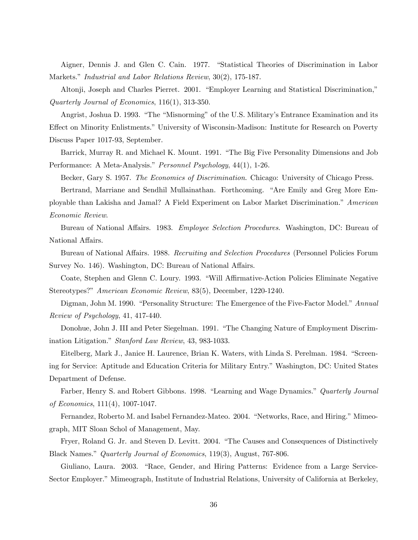Aigner, Dennis J. and Glen C. Cain. 1977. "Statistical Theories of Discrimination in Labor Markets." Industrial and Labor Relations Review, 30(2), 175-187.

Altonji, Joseph and Charles Pierret. 2001. "Employer Learning and Statistical Discrimination," Quarterly Journal of Economics, 116(1), 313-350.

Angrist, Joshua D. 1993. "The "Misnorming" of the U.S. Military's Entrance Examination and its Effect on Minority Enlistments." University of Wisconsin-Madison: Institute for Research on Poverty Discuss Paper 1017-93, September.

Barrick, Murray R. and Michael K. Mount. 1991. "The Big Five Personality Dimensions and Job Performance: A Meta-Analysis." Personnel Psychology, 44(1), 1-26.

Becker, Gary S. 1957. The Economics of Discrimination. Chicago: University of Chicago Press.

Bertrand, Marriane and Sendhil Mullainathan. Forthcoming. "Are Emily and Greg More Employable than Lakisha and Jamal? A Field Experiment on Labor Market Discrimination.<sup>n</sup> American Economic Review.

Bureau of National Affairs. 1983. Employee Selection Procedures. Washington, DC: Bureau of National Affairs.

Bureau of National Affairs. 1988. Recruiting and Selection Procedures (Personnel Policies Forum Survey No. 146). Washington, DC: Bureau of National Affairs.

Coate, Stephen and Glenn C. Loury. 1993. "Will Affirmative-Action Policies Eliminate Negative Stereotypes?" American Economic Review, 83(5), December, 1220-1240.

Digman, John M. 1990. "Personality Structure: The Emergence of the Five-Factor Model." Annual Review of Psychology, 41, 417-440.

Donohue, John J. III and Peter Siegelman. 1991. "The Changing Nature of Employment Discrimination Litigation." Stanford Law Review, 43, 983-1033.

Eitelberg, Mark J., Janice H. Laurence, Brian K. Waters, with Linda S. Perelman. 1984. "Screening for Service: Aptitude and Education Criteria for Military Entry." Washington, DC: United States Department of Defense.

Farber, Henry S. and Robert Gibbons. 1998. "Learning and Wage Dynamics." Quarterly Journal of Economics, 111(4), 1007-1047.

Fernandez, Roberto M. and Isabel Fernandez-Mateo. 2004. "Networks, Race, and Hiring." Mimeograph, MIT Sloan Schol of Management, May.

Fryer, Roland G. Jr. and Steven D. Levitt. 2004. "The Causes and Consequences of Distinctively Black Names." Quarterly Journal of Economics, 119(3), August, 767-806.

Giuliano, Laura. 2003. "Race, Gender, and Hiring Patterns: Evidence from a Large Service-Sector Employer." Mimeograph, Institute of Industrial Relations, University of California at Berkeley,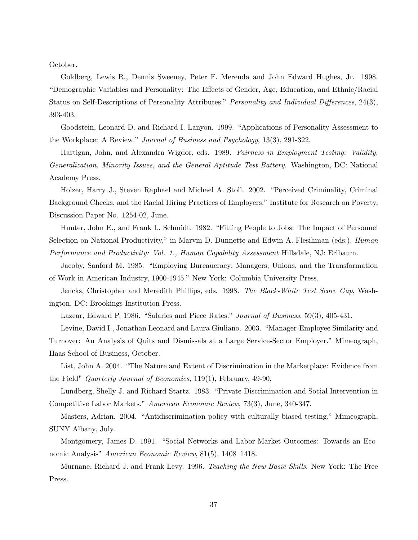October.

Goldberg, Lewis R., Dennis Sweeney, Peter F. Merenda and John Edward Hughes, Jr. 1998. ìDemographic Variables and Personality: The E§ects of Gender, Age, Education, and Ethnic/Racial Status on Self-Descriptions of Personality Attributes." Personality and Individual Differences, 24(3), 393-403.

Goodstein, Leonard D. and Richard I. Lanyon. 1999. "Applications of Personality Assessment to the Workplace: A Review." Journal of Business and Psychology, 13(3), 291-322.

Hartigan, John, and Alexandra Wigdor, eds. 1989. Fairness in Employment Testing: Validity, Generalization, Minority Issues, and the General Aptitude Test Battery. Washington, DC: National Academy Press.

Holzer, Harry J., Steven Raphael and Michael A. Stoll. 2002. "Perceived Criminality, Criminal Background Checks, and the Racial Hiring Practices of Employers." Institute for Research on Poverty, Discussion Paper No. 1254-02, June.

Hunter, John E., and Frank L. Schmidt. 1982. "Fitting People to Jobs: The Impact of Personnel Selection on National Productivity," in Marvin D. Dunnette and Edwin A. Flesihman (eds.), *Human* Performance and Productivity: Vol. 1., Human Capability Assessment Hillsdale, NJ: Erlbaum.

Jacoby, Sanford M. 1985. "Employing Bureaucracy: Managers, Unions, and the Transformation of Work in American Industry, 1900-1945." New York: Columbia University Press.

Jencks, Christopher and Meredith Phillips, eds. 1998. The Black-White Test Score Gap, Washington, DC: Brookings Institution Press.

Lazear, Edward P. 1986. "Salaries and Piece Rates." Journal of Business, 59(3), 405-431.

Levine, David I., Jonathan Leonard and Laura Giuliano. 2003. "Manager-Employee Similarity and Turnover: An Analysis of Quits and Dismissals at a Large Service-Sector Employer.î Mimeograph, Haas School of Business, October.

List, John A. 2004. "The Nature and Extent of Discrimination in the Marketplace: Evidence from the Field" Quarterly Journal of Economics, 119(1), February, 49-90.

Lundberg, Shelly J. and Richard Startz. 1983. "Private Discrimination and Social Intervention in Competitive Labor Markets." American Economic Review, 73(3), June, 340-347.

Masters, Adrian. 2004. "Antidiscrimination policy with culturally biased testing." Mimeograph, SUNY Albany, July.

Montgomery, James D. 1991. "Social Networks and Labor-Market Outcomes: Towards an Economic Analysis" American Economic Review,  $81(5)$ , 1408–1418.

Murnane, Richard J. and Frank Levy. 1996. Teaching the New Basic Skills. New York: The Free Press.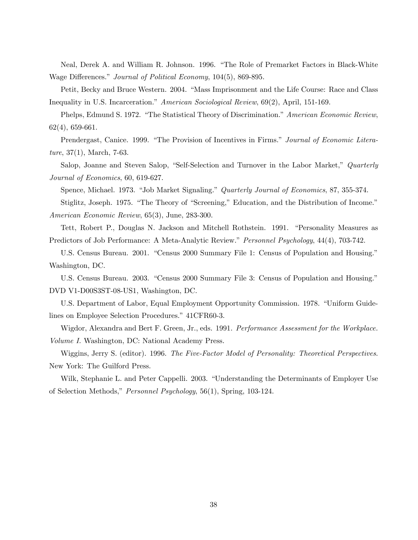Neal, Derek A. and William R. Johnson. 1996. "The Role of Premarket Factors in Black-White Wage Differences." Journal of Political Economy, 104(5), 869-895.

Petit, Becky and Bruce Western. 2004. "Mass Imprisonment and the Life Course: Race and Class Inequality in U.S. Incarceration." American Sociological Review, 69(2), April, 151-169.

Phelps, Edmund S. 1972. "The Statistical Theory of Discrimination." American Economic Review, 62(4), 659-661.

Prendergast, Canice. 1999. "The Provision of Incentives in Firms." Journal of Economic Litera $ture, 37(1), March, 7-63.$ 

Salop, Joanne and Steven Salop, "Self-Selection and Turnover in the Labor Market," Quarterly Journal of Economics, 60, 619-627.

Spence, Michael. 1973. "Job Market Signaling." Quarterly Journal of Economics, 87, 355-374.

Stiglitz, Joseph. 1975. "The Theory of "Screening," Education, and the Distribution of Income." American Economic Review, 65(3), June, 283-300.

Tett, Robert P., Douglas N. Jackson and Mitchell Rothstein. 1991. "Personality Measures as Predictors of Job Performance: A Meta-Analytic Review." Personnel Psychology, 44(4), 703-742.

U.S. Census Bureau. 2001. "Census 2000 Summary File 1: Census of Population and Housing." Washington, DC.

U.S. Census Bureau. 2003. "Census 2000 Summary File 3: Census of Population and Housing." DVD V1-D00S3ST-08-US1, Washington, DC.

U.S. Department of Labor, Equal Employment Opportunity Commission. 1978. "Uniform Guidelines on Employee Selection Procedures." 41CFR60-3.

Wigdor, Alexandra and Bert F. Green, Jr., eds. 1991. Performance Assessment for the Workplace. Volume I. Washington, DC: National Academy Press.

Wiggins, Jerry S. (editor). 1996. The Five-Factor Model of Personality: Theoretical Perspectives. New York: The Guilford Press.

Wilk, Stephanie L. and Peter Cappelli. 2003. "Understanding the Determinants of Employer Use of Selection Methods," Personnel Psychology, 56(1), Spring, 103-124.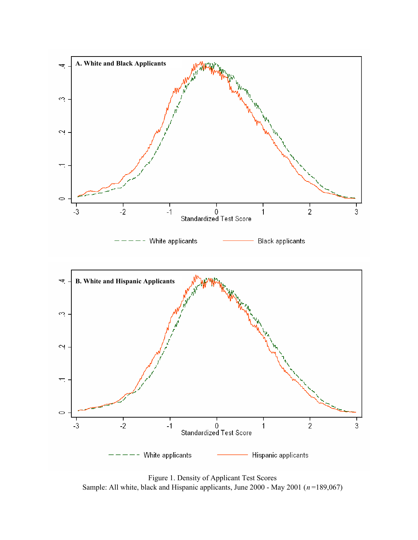

Figure 1. Density of Applicant Test Scores Sample: All white, black and Hispanic applicants, June 2000 - May 2001 (*n* =189,067)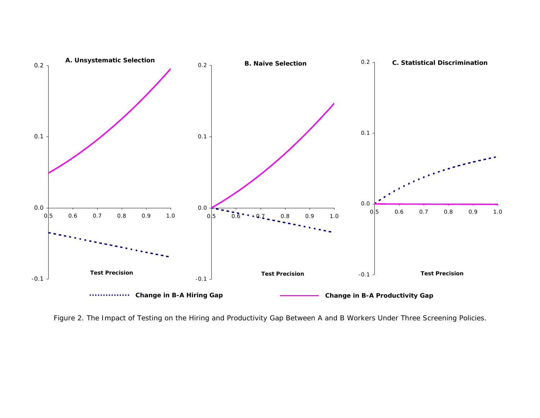

Figure 2. The Impact of Testing on the Hiring and Productivity Gap Between A and B Workers Under Three Screening Policies.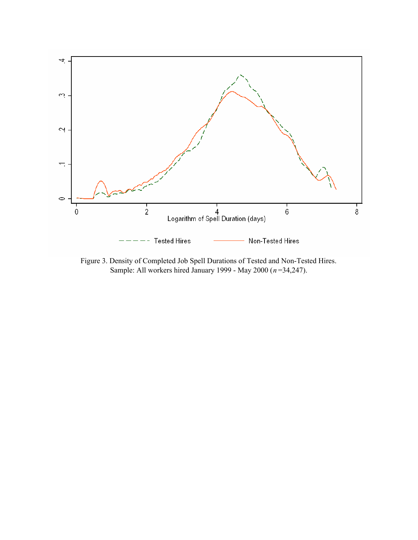

Figure 3. Density of Completed Job Spell Durations of Tested and Non-Tested Hires. Sample: All workers hired January 1999 - May 2000 (*n* =34,247).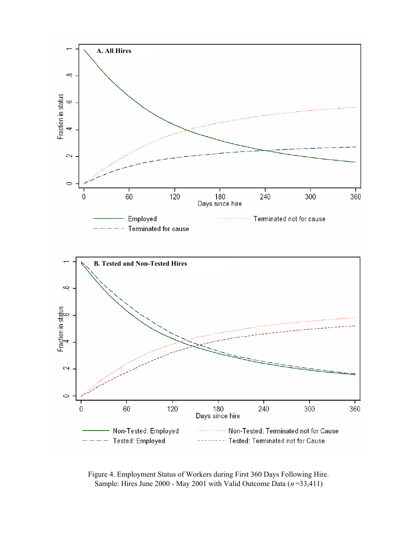

Figure 4. Employment Status of Workers during First 360 Days Following Hire. Sample: Hires June 2000 - May 2001 with Valid Outcome Data (*n* =33,411)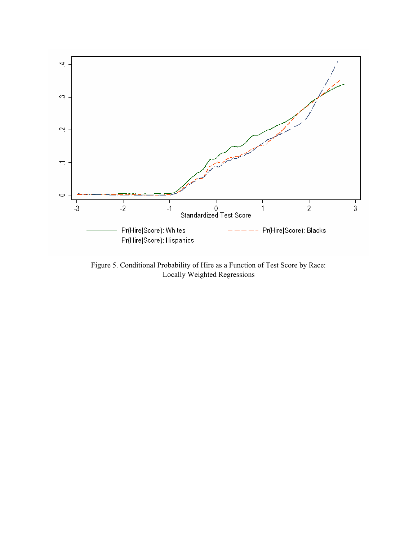

Figure 5. Conditional Probability of Hire as a Function of Test Score by Race: Locally Weighted Regressions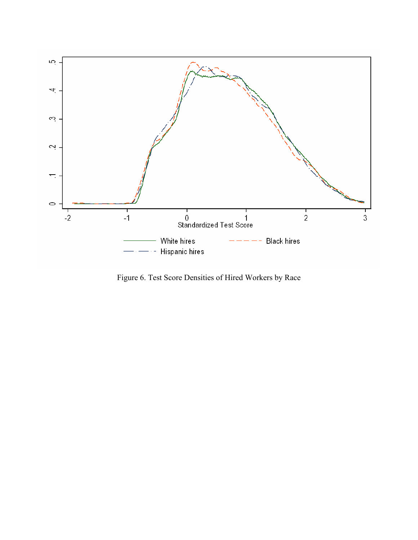

Figure 6. Test Score Densities of Hired Workers by Race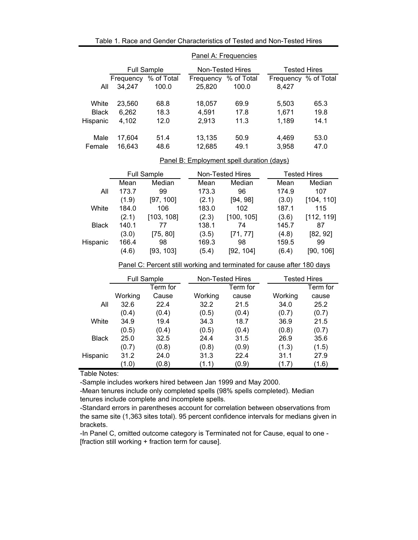|              | Panel A: Frequencies |                    |           |                  |                      |                     |  |  |  |  |
|--------------|----------------------|--------------------|-----------|------------------|----------------------|---------------------|--|--|--|--|
|              |                      | <b>Full Sample</b> |           | Non-Tested Hires |                      | <b>Tested Hires</b> |  |  |  |  |
|              | Frequency            | % of Total         | Frequency | % of Total       | Frequency % of Total |                     |  |  |  |  |
| All          | 34.247               | 100.0              | 25,820    | 100.0            | 8.427                |                     |  |  |  |  |
| White        | 23,560               | 68.8               | 18,057    | 69.9             | 5,503                | 65.3                |  |  |  |  |
| <b>Black</b> | 6,262                | 18.3               | 4,591     | 17.8             | 1,671                | 19.8                |  |  |  |  |
| Hispanic     | 4,102                | 12.0               | 2,913     | 11.3             | 1,189                | 14.1                |  |  |  |  |
| Male         | 17.604               | 51.4               | 13,135    | 50.9             | 4.469                | 53.0                |  |  |  |  |
| Female       | 16.643               | 48.6               | 12,685    | 49.1             | 3.958                | 47.0                |  |  |  |  |

## Table 1. Race and Gender Characteristics of Tested and Non-Tested Hires

## Panel B: Employment spell duration (days)

|              |       | <b>Full Sample</b> |       | Non-Tested Hires | <b>Tested Hires</b> |            |  |
|--------------|-------|--------------------|-------|------------------|---------------------|------------|--|
|              | Mean  | Median             | Mean  | Median           | Mean                | Median     |  |
| All          | 173.7 | 99                 | 173.3 | 96               | 174.9               | 107        |  |
|              | (1.9) | [97, 100]          | (2.1) | [94, 98]         | (3.0)               | [104, 110] |  |
| White        | 184.0 | 106                | 183.0 | 102              | 187.1               | 115        |  |
|              | (2.1) | [103, 108]         | (2.3) | [100, 105]       | (3.6)               | [112, 119] |  |
| <b>Black</b> | 140.1 | 77                 | 138.1 | 74               | 145.7               | 87         |  |
|              | (3.0) | [75, 80]           | (3.5) | [71, 77]         | (4.8)               | [82, 92]   |  |
| Hispanic     | 166.4 | 98                 | 169.3 | 98               | 159.5               | 99         |  |
|              | (4.6) | [93, 103]          | (5.4) | [92, 104]        | (6.4)               | [90, 106]  |  |
|              |       |                    |       |                  |                     |            |  |

## Panel C: Percent still working and terminated for cause after 180 days

|              | <b>Full Sample</b> |          | Non-Tested Hires |          |         | <b>Tested Hires</b> |  |  |
|--------------|--------------------|----------|------------------|----------|---------|---------------------|--|--|
|              |                    | Term for |                  | Term for |         | Term for            |  |  |
|              | Working            | Cause    | Working          | cause    | Working | cause               |  |  |
| All          | 32.6               | 22.4     | 32.2             | 21.5     | 34.0    | 25.2                |  |  |
|              | (0.4)              | (0.4)    | (0.5)            | (0.4)    | (0.7)   | (0.7)               |  |  |
| White        | 34.9               | 19.4     | 34.3             | 18.7     | 36.9    | 21.5                |  |  |
|              | (0.5)              | (0.4)    | (0.5)            | (0.4)    | (0.8)   | (0.7)               |  |  |
| <b>Black</b> | 25.0               | 32.5     | 24.4             | 31.5     | 26.9    | 35.6                |  |  |
|              | (0.7)              | (0.8)    | (0.8)            | (0.9)    | (1.3)   | (1.5)               |  |  |
| Hispanic     | 31.2               | 24.0     | 31.3             | 22.4     | 31.1    | 27.9                |  |  |
|              | (1.0)              | (0.8)    | (1.1)            | (0.9)    | (1.7)   | (1.6)               |  |  |

Table Notes:

-Sample includes workers hired between Jan 1999 and May 2000.

-Mean tenures include only completed spells (98% spells completed). Median tenures include complete and incomplete spells.

-Standard errors in parentheses account for correlation between observations from the same site (1,363 sites total). 95 percent confidence intervals for medians given in brackets.

-In Panel C, omitted outcome category is Terminated not for Cause, equal to one - [fraction still working + fraction term for cause].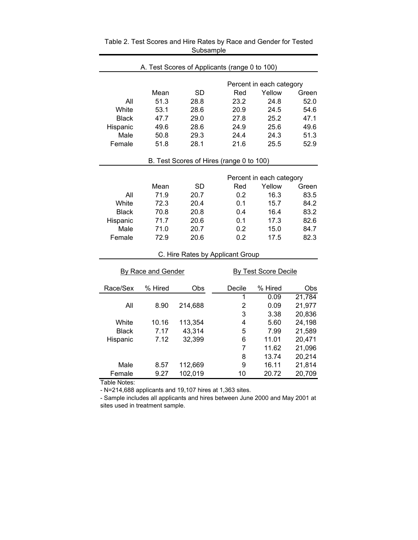| A. Test Scores of Applicants (range 0 to 100) |                    |           |                                  |                             |        |  |  |  |  |  |
|-----------------------------------------------|--------------------|-----------|----------------------------------|-----------------------------|--------|--|--|--|--|--|
|                                               |                    |           |                                  | Percent in each category    |        |  |  |  |  |  |
|                                               | Mean               | <b>SD</b> | Red                              | Yellow                      | Green  |  |  |  |  |  |
| All                                           | 51.3               | 28.8      | 23.2                             | 24.8                        | 52.0   |  |  |  |  |  |
| White                                         | 53.1               | 28.6      | 20.9                             | 24.5                        | 54.6   |  |  |  |  |  |
| <b>Black</b>                                  | 47.7               | 29.0      | 27.8                             | 25.2                        | 47.1   |  |  |  |  |  |
| Hispanic                                      | 49.6               | 28.6      | 24.9                             | 25.6                        | 49.6   |  |  |  |  |  |
| Male                                          | 50.8               | 29.3      | 24.4                             | 24.3                        | 51.3   |  |  |  |  |  |
| Female                                        | 51.8               | 28.1      | 21.6                             | 25.5                        | 52.9   |  |  |  |  |  |
| B. Test Scores of Hires (range 0 to 100)      |                    |           |                                  |                             |        |  |  |  |  |  |
| Percent in each category                      |                    |           |                                  |                             |        |  |  |  |  |  |
|                                               | Mean               | <b>SD</b> | Red                              | Yellow                      | Green  |  |  |  |  |  |
| All                                           | 71.9               | 20.7      | 0.2                              | 16.3                        | 83.5   |  |  |  |  |  |
| White                                         | 72.3               | 20.4      | 0.1                              | 15.7                        | 84.2   |  |  |  |  |  |
| <b>Black</b>                                  | 70.8               | 20.8      | 0.4                              | 16.4                        | 83.2   |  |  |  |  |  |
| Hispanic                                      | 71.7               | 20.6      | 0.1                              | 17.3                        | 82.6   |  |  |  |  |  |
| Male                                          | 71.0               | 20.7      | 0.2                              | 15.0                        | 84.7   |  |  |  |  |  |
| Female                                        | 72.9               | 20.6      | 0.2                              | 17.5                        | 82.3   |  |  |  |  |  |
|                                               |                    |           | C. Hire Rates by Applicant Group |                             |        |  |  |  |  |  |
|                                               | By Race and Gender |           |                                  | <b>By Test Score Decile</b> |        |  |  |  |  |  |
| Race/Sex                                      | % Hired            | Obs       | Decile                           | % Hired                     | Obs    |  |  |  |  |  |
|                                               |                    |           | 1                                | 0.09                        | 21,784 |  |  |  |  |  |
| All                                           | 8.90               | 214,688   | $\overline{2}$                   | 0.09                        | 21,977 |  |  |  |  |  |
|                                               |                    |           | 3                                | 3.38                        | 20,836 |  |  |  |  |  |
| White                                         | 10.16              | 113,354   | 4                                | 5.60                        | 24,198 |  |  |  |  |  |
| <b>Black</b>                                  | 7.17               | 43,314    | 5                                | 7.99                        | 21,589 |  |  |  |  |  |
| Hispanic                                      | 7.12               | 32,399    | 6                                | 11.01                       | 20,471 |  |  |  |  |  |
|                                               |                    |           | $\overline{7}$                   | 11.62                       | 21,096 |  |  |  |  |  |
|                                               |                    |           | 8                                | 13.74                       | 20,214 |  |  |  |  |  |
| Male                                          | 8.57               | 112,669   | 9                                | 16.11                       | 21,814 |  |  |  |  |  |
| Female                                        | 9.27               | 102,019   | 10                               | 20.72                       | 20,709 |  |  |  |  |  |

Table 2. Test Scores and Hire Rates by Race and Gender for Tested **Subsample** 

Table Notes:

- N=214,688 applicants and 19,107 hires at 1,363 sites.

- Sample includes all applicants and hires between June 2000 and May 2001 at sites used in treatment sample.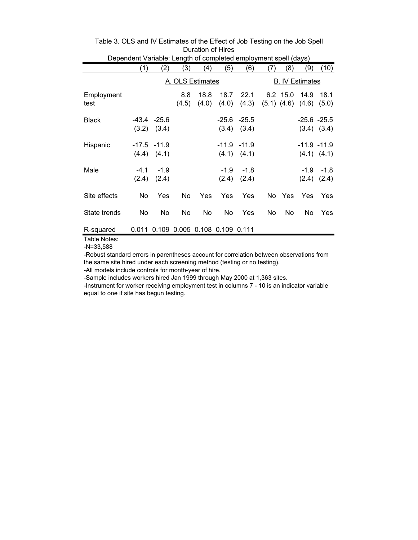| Dependent Variable: Length of completed employment spell (days) |       |                                     |              |               |                        |                                   |     |          |                                 |                       |
|-----------------------------------------------------------------|-------|-------------------------------------|--------------|---------------|------------------------|-----------------------------------|-----|----------|---------------------------------|-----------------------|
|                                                                 | (1)   | (2)                                 | (3)          | (4)           | (5)                    | (6)                               | (7) | (8)      | (9)                             | (10)                  |
|                                                                 |       |                                     |              |               | <b>B. IV Estimates</b> |                                   |     |          |                                 |                       |
| Employment<br>test                                              |       |                                     | 8.8<br>(4.5) | 18.8<br>(4.0) | 18.7<br>(4.0)          | 22.1<br>(4.3)                     |     | 6.2 15.0 | 14.9<br>$(5.1)$ $(4.6)$ $(4.6)$ | 18.1<br>(5.0)         |
| <b>Black</b>                                                    |       | $-43.4 -25.6$<br>$(3.2)$ $(3.4)$    |              |               |                        | $-25.6 - 25.5$<br>$(3.4)$ $(3.4)$ |     |          | $-25.6 - 25.5$                  | $(3.4)$ $(3.4)$       |
| Hispanic                                                        |       | $-17.5 - 11.9$<br>$(4.4)$ $(4.1)$   |              |               |                        | $-11.9 - 11.9$<br>$(4.1)$ $(4.1)$ |     |          | $-11.9 - 11.9$                  | $(4.1)$ $(4.1)$       |
| Male                                                            | (2.4) | $-4.1 - 1.9$<br>(2.4)               |              |               | (2.4)                  | $-1.9 - 1.8$<br>(2.4)             |     |          | (2.4)                           | $-1.9 - 1.8$<br>(2.4) |
| Site effects                                                    | No.   | Yes                                 | No.          | Yes           | Yes                    | Yes                               |     | No Yes   | <b>Yes</b>                      | Yes                   |
| State trends                                                    | No    | No                                  | No           | No            | No                     | Yes                               | No. | No       | No.                             | Yes                   |
| R-squared                                                       |       | 0.011 0.109 0.005 0.108 0.109 0.111 |              |               |                        |                                   |     |          |                                 |                       |

# Table 3. OLS and IV Estimates of the Effect of Job Testing on the Job Spell Duration of Hires

Table Notes:

-N=33,588

-Robust standard errors in parentheses account for correlation between observations from the same site hired under each screening method (testing or no testing).

-All models include controls for month-year of hire.

-Sample includes workers hired Jan 1999 through May 2000 at 1,363 sites.

-Instrument for worker receiving employment test in columns 7 - 10 is an indicator variable equal to one if site has begun testing.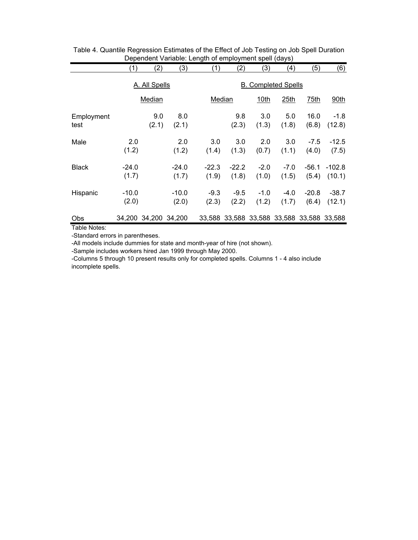|                    | (1)              | (2)                  | (3)              | (1)              | (2)                                       | (3)             | (4)             | (5)              | (6)                |
|--------------------|------------------|----------------------|------------------|------------------|-------------------------------------------|-----------------|-----------------|------------------|--------------------|
|                    |                  | A. All Spells        |                  |                  | <b>B.</b> Completed Spells                |                 |                 |                  |                    |
|                    |                  | Median               |                  |                  | Median                                    | 10th            | 25th            | 75th             | 90th               |
| Employment<br>test |                  | 9.0<br>(2.1)         | 8.0<br>(2.1)     |                  | 9.8<br>(2.3)                              | 3.0<br>(1.3)    | 5.0<br>(1.8)    | 16.0<br>(6.8)    | $-1.8$<br>(12.8)   |
| Male               | 2.0<br>(1.2)     |                      | 2.0<br>(1.2)     | 3.0<br>(1.4)     | 3.0<br>(1.3)                              | 2.0<br>(0.7)    | 3.0<br>(1.1)    | $-7.5$<br>(4.0)  | $-12.5$<br>(7.5)   |
| <b>Black</b>       | $-24.0$<br>(1.7) |                      | $-24.0$<br>(1.7) | $-22.3$<br>(1.9) | $-22.2$<br>(1.8)                          | $-2.0$<br>(1.0) | $-7.0$<br>(1.5) | -56.1<br>(5.4)   | $-102.8$<br>(10.1) |
| Hispanic           | $-10.0$<br>(2.0) |                      | $-10.0$<br>(2.0) | $-9.3$<br>(2.3)  | $-9.5$<br>(2.2)                           | $-1.0$<br>(1.2) | $-4.0$<br>(1.7) | $-20.8$<br>(6.4) | $-38.7$<br>(12.1)  |
| Obs                |                  | 34,200 34,200 34,200 |                  |                  | 33,588 33,588 33,588 33,588 33,588 33,588 |                 |                 |                  |                    |

| Table 4. Quantile Regression Estimates of the Effect of Job Testing on Job Spell Duration |
|-------------------------------------------------------------------------------------------|
| Dependent Variable: Length of employment spell (days)                                     |

Table Notes:

-Standard errors in parentheses.

-All models include dummies for state and month-year of hire (not shown).

-Sample includes workers hired Jan 1999 through May 2000.

-Columns 5 through 10 present results only for completed spells. Columns 1 - 4 also include incomplete spells.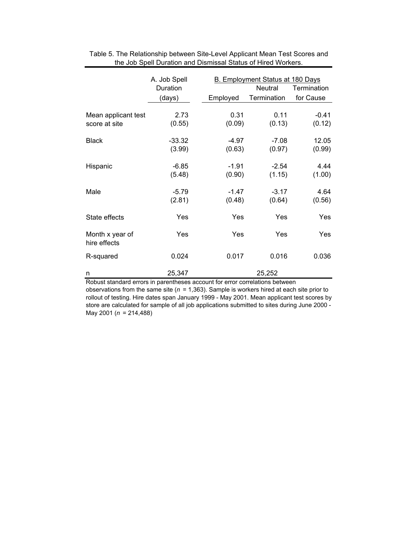|                                      | A. Job Spell<br>Duration |                   | <b>B. Employment Status at 180 Days</b><br>Neutral | Termination       |  |
|--------------------------------------|--------------------------|-------------------|----------------------------------------------------|-------------------|--|
|                                      | (days)                   | Employed          | Termination                                        | for Cause         |  |
| Mean applicant test<br>score at site | 2.73<br>(0.55)           | 0.31<br>(0.09)    | 0.11<br>(0.13)                                     | $-0.41$<br>(0.12) |  |
| <b>Black</b>                         | $-33.32$<br>(3.99)       | -4.97<br>(0.63)   | $-7.08$<br>(0.97)                                  | 12.05<br>(0.99)   |  |
| Hispanic                             | $-6.85$<br>(5.48)        | $-1.91$<br>(0.90) | $-2.54$<br>(1.15)                                  | 4.44<br>(1.00)    |  |
| Male                                 | $-5.79$<br>(2.81)        | $-1.47$<br>(0.48) | $-3.17$<br>(0.64)                                  | 4.64<br>(0.56)    |  |
| State effects                        | Yes                      | Yes               | Yes                                                | Yes               |  |
| Month x year of<br>hire effects      | Yes                      | Yes               | Yes                                                | Yes               |  |
| R-squared                            | 0.024                    | 0.017             | 0.016                                              | 0.036             |  |
| n                                    | 25,347                   |                   | 25,252                                             |                   |  |

Table 5. The Relationship between Site-Level Applicant Mean Test Scores and the Job Spell Duration and Dismissal Status of Hired Workers.

Robust standard errors in parentheses account for error correlations between observations from the same site ( $n = 1,363$ ). Sample is workers hired at each site prior to rollout of testing. Hire dates span January 1999 - May 2001. Mean applicant test scores by store are calculated for sample of all job applications submitted to sites during June 2000 - May 2001 (*n* = 214,488)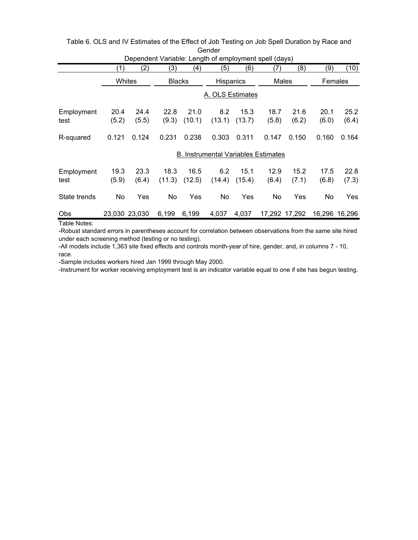| Dependent Variable: Length of employment spell (days) |               |               |                |                  |                                            |                |               |               |               |               |
|-------------------------------------------------------|---------------|---------------|----------------|------------------|--------------------------------------------|----------------|---------------|---------------|---------------|---------------|
|                                                       | (1)           | (2)           | (3)            | (4)              | (5)                                        | (6)            | (7)           | (8)           | (9)           | (10)          |
|                                                       |               | Whites        | <b>Blacks</b>  |                  | <b>Hispanics</b>                           |                | Males         |               | Females       |               |
|                                                       |               |               |                | A. OLS Estimates |                                            |                |               |               |               |               |
| Employment<br>test                                    | 20.4<br>(5.2) | 24.4<br>(5.5) | 22.8<br>(9.3)  | 21.0<br>(10.1)   | 8.2<br>(13.1)                              | 15.3<br>(13.7) | 18.7<br>(5.8) | 21.6<br>(6.2) | 20.1<br>(6.0) | 25.2<br>(6.4) |
| R-squared                                             | 0.121         | 0.124         | 0.231          | 0.238            | 0.303                                      | 0.311          | 0.147         | 0.150         | 0.160         | 0.164         |
|                                                       |               |               |                |                  | <b>B. Instrumental Variables Estimates</b> |                |               |               |               |               |
| Employment<br>test                                    | 19.3<br>(5.9) | 23.3<br>(6.4) | 18.3<br>(11.3) | 16.5<br>(12.5)   | 6.2<br>(14.4)                              | 15.1<br>(15.4) | 12.9<br>(6.4) | 15.2<br>(7.1) | 17.5<br>(6.8) | 22.8<br>(7.3) |
| State trends                                          | No.           | Yes           | No             | Yes              | No                                         | Yes            | No            | Yes           | No.           | Yes           |
| Obs                                                   |               | 23,030 23,030 | 6,199          | 6,199            | 4,037                                      | 4,037          |               | 17,292 17,292 |               | 16,296 16,296 |

| Table 6. OLS and IV Estimates of the Effect of Job Testing on Job Spell Duration by Race and |  |
|----------------------------------------------------------------------------------------------|--|
| Gender                                                                                       |  |
|                                                                                              |  |

Table Notes:

-Robust standard errors in parentheses account for correlation between observations from the same site hired under each screening method (testing or no testing).

-All models include 1,363 site fixed effects and controls month-year of hire, gender, and, in columns 7 - 10, race.

-Sample includes workers hired Jan 1999 through May 2000.

-Instrument for worker receiving employment test is an indicator variable equal to one if site has begun testing.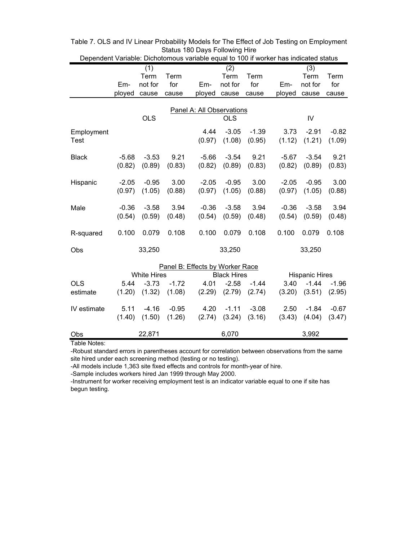| Dependent Variable: Dichotomous variable equal to 100 if worker has indicated status |         |                    |         |                                 |                    |         |         |                       |         |  |
|--------------------------------------------------------------------------------------|---------|--------------------|---------|---------------------------------|--------------------|---------|---------|-----------------------|---------|--|
|                                                                                      |         | (1)                |         |                                 | (2)                |         |         | (3)                   |         |  |
|                                                                                      |         | Term               | Term    |                                 | Term               | Term    |         | Term                  | Term    |  |
|                                                                                      | Em-     | not for            | for     | Em-                             | not for            | for     | Em-     | not for               | for     |  |
|                                                                                      | ployed  | cause              | cause   | ployed                          | cause              | cause   | ployed  | cause                 | cause   |  |
| Panel A: All Observations                                                            |         |                    |         |                                 |                    |         |         |                       |         |  |
|                                                                                      |         | <b>OLS</b>         |         |                                 | <b>OLS</b>         |         |         | IV                    |         |  |
| Employment                                                                           |         |                    |         | 4.44                            | $-3.05$            | $-1.39$ | 3.73    | $-2.91$               | $-0.82$ |  |
| <b>Test</b>                                                                          |         |                    |         | (0.97)                          | (1.08)             | (0.95)  | (1.12)  | (1.21)                | (1.09)  |  |
| <b>Black</b>                                                                         | $-5.68$ | $-3.53$            | 9.21    | $-5.66$                         | $-3.54$            | 9.21    | $-5.67$ | $-3.54$               | 9.21    |  |
|                                                                                      | (0.82)  | (0.89)             | (0.83)  | (0.82)                          | (0.89)             | (0.83)  | (0.82)  | (0.89)                | (0.83)  |  |
| Hispanic                                                                             | $-2.05$ | $-0.95$            | 3.00    | $-2.05$                         | $-0.95$            | 3.00    | $-2.05$ | $-0.95$               | 3.00    |  |
|                                                                                      | (0.97)  | (1.05)             | (0.88)  | (0.97)                          | (1.05)             | (0.88)  | (0.97)  | (1.05)                | (0.88)  |  |
| Male                                                                                 | $-0.36$ | $-3.58$            | 3.94    | $-0.36$                         | $-3.58$            | 3.94    | $-0.36$ | $-3.58$               | 3.94    |  |
|                                                                                      | (0.54)  | (0.59)             | (0.48)  | (0.54)                          | (0.59)             | (0.48)  | (0.54)  | (0.59)                | (0.48)  |  |
| R-squared                                                                            | 0.100   | 0.079              | 0.108   | 0.100                           | 0.079              | 0.108   | 0.100   | 0.079                 | 0.108   |  |
| Obs                                                                                  |         | 33,250             |         |                                 | 33,250             |         |         | 33,250                |         |  |
|                                                                                      |         |                    |         | Panel B: Effects by Worker Race |                    |         |         |                       |         |  |
|                                                                                      |         | <b>White Hires</b> |         |                                 | <b>Black Hires</b> |         |         | <b>Hispanic Hires</b> |         |  |
| <b>OLS</b>                                                                           | 5.44    | $-3.73$            | $-1.72$ | 4.01                            | $-2.58$            | $-1.44$ | 3.40    | $-1.44$               | $-1.96$ |  |
| estimate                                                                             | (1.20)  | (1.32)             | (1.08)  | (2.29)                          | (2.79)             | (2.74)  | (3.20)  | (3.51)                | (2.95)  |  |
| IV estimate                                                                          | 5.11    | $-4.16$            | $-0.95$ | 4.20                            | $-1.11$            | $-3.08$ | 2.50    | $-1.84$               | $-0.67$ |  |
|                                                                                      | (1.40)  | (1.50)             | (1.26)  | (2.74)                          | (3.24)             | (3.16)  | (3.43)  | (4.04)                | (3.47)  |  |
| Obs                                                                                  |         | 22,871             |         |                                 | 6,070              |         |         | 3,992                 |         |  |

Table 7. OLS and IV Linear Probability Models for The Effect of Job Testing on Employment Status 180 Days Following Hire

Table Notes:

-Robust standard errors in parentheses account for correlation between observations from the same site hired under each screening method (testing or no testing).

-All models include 1,363 site fixed effects and controls for month-year of hire.

-Sample includes workers hired Jan 1999 through May 2000.

-Instrument for worker receiving employment test is an indicator variable equal to one if site has begun testing.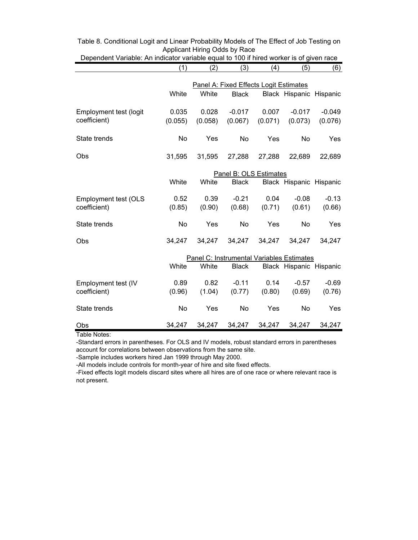|                             | (1)       | (2)     | The majority variable equal to 100 if these worker to or<br>(3) | (4)                 | (5)                                       | 900000000<br>(6) |
|-----------------------------|-----------|---------|-----------------------------------------------------------------|---------------------|-------------------------------------------|------------------|
|                             |           |         |                                                                 |                     |                                           |                  |
|                             |           |         | Panel A: Fixed Effects Logit Estimates                          |                     |                                           |                  |
|                             | White     | White   | <b>Black</b>                                                    |                     | Black Hispanic Hispanic                   |                  |
| Employment test (logit      |           |         |                                                                 |                     |                                           |                  |
| coefficient)                | 0.035     | 0.028   | $-0.017$                                                        | 0.007               | $-0.017$                                  | $-0.049$         |
|                             | (0.055)   | (0.058) |                                                                 | $(0.067)$ $(0.071)$ | (0.073)                                   | (0.076)          |
| State trends                | <b>No</b> | Yes     | <b>No</b>                                                       | Yes                 | No                                        | Yes              |
|                             |           |         |                                                                 |                     |                                           |                  |
| Obs                         | 31,595    | 31,595  | 27,288                                                          | 27,288              | 22,689                                    | 22,689           |
|                             |           |         |                                                                 |                     |                                           |                  |
|                             |           |         | Panel B: OLS Estimates                                          |                     |                                           |                  |
|                             | White     | White   | <b>Black</b>                                                    |                     | Black Hispanic Hispanic                   |                  |
|                             |           |         |                                                                 | 0.04                |                                           |                  |
| <b>Employment test (OLS</b> | 0.52      | 0.39    | $-0.21$                                                         |                     | $-0.08$                                   | $-0.13$          |
| coefficient)                | (0.85)    | (0.90)  | (0.68)                                                          | (0.71)              | (0.61)                                    | (0.66)           |
| State trends                | <b>No</b> | Yes     | No                                                              | Yes                 | No                                        | Yes              |
|                             |           |         |                                                                 |                     |                                           |                  |
| Obs                         | 34,247    | 34,247  | 34,247                                                          | 34,247              | 34,247                                    | 34,247           |
|                             |           |         |                                                                 |                     |                                           |                  |
|                             |           |         |                                                                 |                     | Panel C: Instrumental Variables Estimates |                  |
|                             | White     | White   | <b>Black</b>                                                    |                     | Black Hispanic Hispanic                   |                  |
| Employment test (IV         | 0.89      | 0.82    | $-0.11$                                                         | 0.14                | $-0.57$                                   | $-0.69$          |
| coefficient)                | (0.96)    | (1.04)  | (0.77)                                                          | (0.80)              | (0.69)                                    | (0.76)           |
|                             |           |         |                                                                 |                     |                                           |                  |
| State trends                | No        | Yes     | No                                                              | Yes                 | No                                        | Yes              |
|                             |           |         |                                                                 |                     |                                           |                  |
| Obs                         | 34,247    | 34,247  | 34,247                                                          | 34,247              | 34,247                                    | 34,247           |

Table 8. Conditional Logit and Linear Probability Models of The Effect of Job Testing on Applicant Hiring Odds by Race Dependent Variable: An indicator variable equal to 100 if hired worker is of given race

Table Notes:

-Standard errors in parentheses. For OLS and IV models, robust standard errors in parentheses account for correlations between observations from the same site.

-Sample includes workers hired Jan 1999 through May 2000.

-All models include controls for month-year of hire and site fixed effects.

-Fixed effects logit models discard sites where all hires are of one race or where relevant race is not present.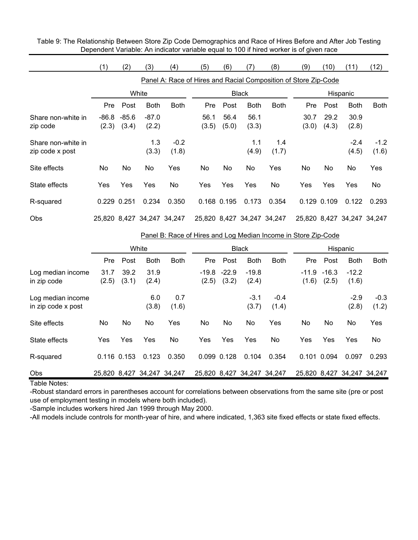Table 9: The Relationship Between Store Zip Code Demographics and Race of Hires Before and After Job Testing Dependent Variable: An indicator variable equal to 100 if hired worker is of given race

|                    | (1)         | (2)     | (3)                        | (4)         | (5)                                                             | (6)          | (7)                        | (8)         | (9)   | (10)        | (11)                       | (12)        |
|--------------------|-------------|---------|----------------------------|-------------|-----------------------------------------------------------------|--------------|----------------------------|-------------|-------|-------------|----------------------------|-------------|
|                    |             |         |                            |             | Panel A: Race of Hires and Racial Composition of Store Zip-Code |              |                            |             |       |             |                            |             |
|                    |             | White   |                            |             |                                                                 | <b>Black</b> |                            |             |       | Hispanic    |                            |             |
|                    | <b>Pre</b>  | Post    | <b>Both</b>                | <b>Both</b> | Pre                                                             | Post         | <b>Both</b>                | <b>Both</b> | Pre   | Post        | <b>Both</b>                | <b>Both</b> |
| Share non-white in | -86.8       | $-85.6$ | $-87.0$                    |             | 56.1                                                            | 56.4         | 56.1                       |             | 30.7  | 29.2        | 30.9                       |             |
| zip code           | (2.3)       | (3.4)   | (2.2)                      |             | (3.5)                                                           | (5.0)        | (3.3)                      |             | (3.0) | (4.3)       | (2.8)                      |             |
| Share non-white in |             |         | 1.3                        | $-0.2$      |                                                                 |              | 1.1                        | 1.4         |       |             | $-2.4$                     | $-1.2$      |
| zip code x post    |             |         | (3.3)                      | (1.8)       |                                                                 |              | (4.9)                      | (1.7)       |       |             | (4.5)                      | (1.6)       |
| Site effects       | No          | No.     | No                         | Yes         | No                                                              | No.          | No                         | Yes         | No    | No.         | No                         | Yes         |
| State effects      | Yes         | Yes     | Yes                        | No          | Yes                                                             | Yes          | Yes                        | No          | Yes   | Yes         | Yes                        | No.         |
| R-squared          | 0.229 0.251 |         | 0.234                      | 0.350       |                                                                 | 0.168 0.195  | 0.173                      | 0.354       |       | 0.129 0.109 | 0.122                      | 0.293       |
| Obs                |             |         | 25,820 8,427 34,247 34,247 |             |                                                                 |              | 25,820 8,427 34,247 34,247 |             |       |             | 25,820 8,427 34,247 34,247 |             |

## Panel B: Race of Hires and Log Median Income in Store Zip-Code

|                                         | White         |                 |               | <b>Black</b> |                  |                  | Hispanic         |                 |                  |                  |                  |                 |
|-----------------------------------------|---------------|-----------------|---------------|--------------|------------------|------------------|------------------|-----------------|------------------|------------------|------------------|-----------------|
|                                         | Pre           | Post            | <b>Both</b>   | <b>Both</b>  | <b>Pre</b>       | Post             | <b>Both</b>      | <b>Both</b>     | Pre              | Post             | <b>Both</b>      | <b>Both</b>     |
| Log median income<br>in zip code        | 31.7<br>(2.5) | 39.2<br>(3.1)   | 31.9<br>(2.4) |              | $-19.8$<br>(2.5) | $-22.9$<br>(3.2) | $-19.8$<br>(2.4) |                 | $-11.9$<br>(1.6) | $-16.3$<br>(2.5) | $-12.2$<br>(1.6) |                 |
| Log median income<br>in zip code x post |               |                 | 6.0<br>(3.8)  | 0.7<br>(1.6) |                  |                  | -3.1<br>(3.7)    | $-0.4$<br>(1.4) |                  |                  | $-2.9$<br>(2.8)  | $-0.3$<br>(1.2) |
| Site effects                            | No            | No.             | No            | Yes          | No               | No.              | No               | Yes             | No               | No               | No.              | Yes             |
| State effects                           | Yes           | Yes             | Yes           | No           | Yes              | Yes              | Yes              | No              | Yes              | Yes              | Yes              | No              |
| R-squared                               |               | $0.116$ $0.153$ | 0.123         | 0.350        |                  | 0.099 0.128      | 0.104            | 0.354           | 0.101            | 0.094            | 0.097            | 0.293           |
| Obs                                     | 25.820        | 8,427           | 34,247 34,247 |              | 25.820           | 8,427            | 34,247           | 34,247          | 25,820 8,427     |                  | 34,247 34,247    |                 |

Table Notes:

-Robust standard errors in parentheses account for correlations between observations from the same site (pre or post use of employment testing in models where both included).

-Sample includes workers hired Jan 1999 through May 2000.

-All models include controls for month-year of hire, and where indicated, 1,363 site fixed effects or state fixed effects.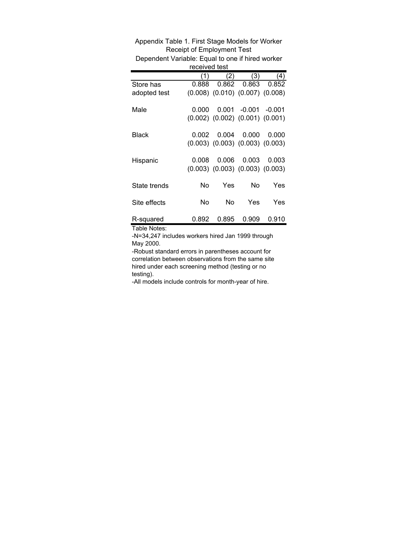| Dependent vanabie. Equal to one ill illied worker |       |                                         |                         |            |  |  |  |  |  |  |
|---------------------------------------------------|-------|-----------------------------------------|-------------------------|------------|--|--|--|--|--|--|
| received test                                     |       |                                         |                         |            |  |  |  |  |  |  |
|                                                   | (1)   | (2)                                     | (3)                     | (4)        |  |  |  |  |  |  |
| Store has                                         | 0.888 | 0.862                                   | 0.863                   | 0.852      |  |  |  |  |  |  |
| adopted test                                      |       | $(0.008)$ $(0.010)$ $(0.007)$ $(0.008)$ |                         |            |  |  |  |  |  |  |
|                                                   |       |                                         |                         |            |  |  |  |  |  |  |
| Male                                              | 0.000 |                                         | $0.001 - 0.001 - 0.001$ |            |  |  |  |  |  |  |
|                                                   |       | $(0.002)$ $(0.002)$ $(0.001)$ $(0.001)$ |                         |            |  |  |  |  |  |  |
| Black                                             | 0.002 | 0.004                                   | 0.000                   | 0.000      |  |  |  |  |  |  |
|                                                   |       |                                         |                         |            |  |  |  |  |  |  |
|                                                   |       | $(0.003)$ $(0.003)$ $(0.003)$ $(0.003)$ |                         |            |  |  |  |  |  |  |
| Hispanic                                          | 0.008 | 0.006                                   | 0.003                   | 0.003      |  |  |  |  |  |  |
|                                                   |       | $(0.003)$ $(0.003)$ $(0.003)$ $(0.003)$ |                         |            |  |  |  |  |  |  |
|                                                   |       |                                         |                         |            |  |  |  |  |  |  |
| State trends                                      | No    | Yes                                     | No                      | Yes        |  |  |  |  |  |  |
|                                                   |       |                                         |                         |            |  |  |  |  |  |  |
| Site effects                                      | No    | No                                      | Yes                     | <b>Yes</b> |  |  |  |  |  |  |
|                                                   |       |                                         |                         |            |  |  |  |  |  |  |
| R-squared                                         | 0.892 | 0.895                                   | 0.909                   | 0.910      |  |  |  |  |  |  |

Appendix Table 1. First Stage Models for Worker Receipt of Employment Test Dependent Variable: Equal to one if hired worker

Table Notes:

-N=34,247 includes workers hired Jan 1999 through May 2000.

-Robust standard errors in parentheses account for correlation between observations from the same site hired under each screening method (testing or no testing).

-All models include controls for month-year of hire.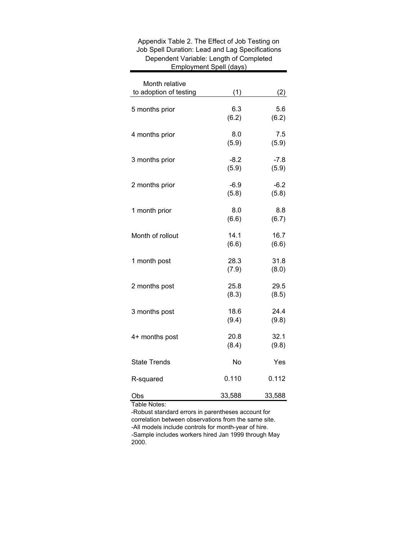| Month relative         |                 |                 |
|------------------------|-----------------|-----------------|
| to adoption of testing | (1)             | (2)             |
| 5 months prior         | 6.3<br>(6.2)    | 5.6<br>(6.2)    |
| 4 months prior         | 8.0<br>(5.9)    | 7.5<br>(5.9)    |
| 3 months prior         | $-8.2$<br>(5.9) | $-7.8$<br>(5.9) |
| 2 months prior         | $-6.9$<br>(5.8) | $-6.2$<br>(5.8) |
| 1 month prior          | 8.0<br>(6.6)    | 8.8<br>(6.7)    |
| Month of rollout       | 14.1<br>(6.6)   | 16.7<br>(6.6)   |
| 1 month post           | 28.3<br>(7.9)   | 31.8<br>(8.0)   |
| 2 months post          | 25.8<br>(8.3)   | 29.5<br>(8.5)   |
| 3 months post          | 18.6<br>(9.4)   | 24.4<br>(9.8)   |
| 4+ months post         | 20.8<br>(8.4)   | 32.1<br>(9.8)   |
| <b>State Trends</b>    | No              | Yes             |
| R-squared              | 0.110           | 0.112           |
| Obs                    | 33,588          | 33,588          |

## Appendix Table 2. The Effect of Job Testing on Job Spell Duration: Lead and Lag Specifications Dependent Variable: Length of Completed Employment Spell (days)

Table Notes:

-Robust standard errors in parentheses account for correlation between observations from the same site. -All models include controls for month-year of hire. -Sample includes workers hired Jan 1999 through May 2000.